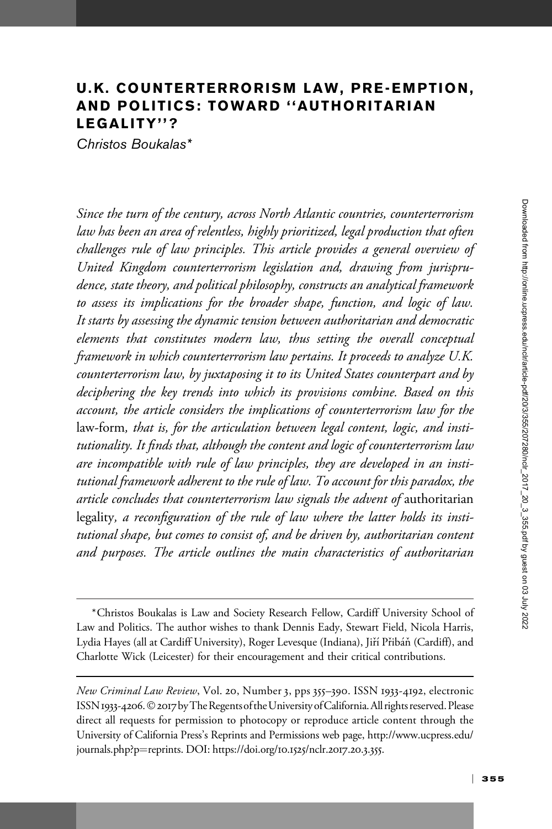# U.K. COUNTERTERRORISM LAW, PRE-EMPTION, AND POLITICS: TOWARD ''AUTHORITARIAN LEGALITY''?

Christos Boukalas\*

Since the turn of the century, across North Atlantic countries, counterterrorism law has been an area of relentless, highly prioritized, legal production that often challenges rule of law principles. This article provides a general overview of United Kingdom counterterrorism legislation and, drawing from jurisprudence, state theory, and political philosophy, constructs an analytical framework to assess its implications for the broader shape, function, and logic of law. It starts by assessing the dynamic tension between authoritarian and democratic elements that constitutes modern law, thus setting the overall conceptual framework in which counterterrorism law pertains. It proceeds to analyze U.K. counterterrorism law, by juxtaposing it to its United States counterpart and by deciphering the key trends into which its provisions combine. Based on this account, the article considers the implications of counterterrorism law for the law-form, that is, for the articulation between legal content, logic, and institutionality. It finds that, although the content and logic of counterterrorism law are incompatible with rule of law principles, they are developed in an institutional framework adherent to the rule of law. To account for this paradox, the article concludes that counterterrorism law signals the advent of authoritarian legality, a reconfiguration of the rule of law where the latter holds its institutional shape, but comes to consist of, and be driven by, authoritarian content and purposes. The article outlines the main characteristics of authoritarian

<sup>\*</sup>Christos Boukalas is Law and Society Research Fellow, Cardiff University School of Law and Politics. The author wishes to thank Dennis Eady, Stewart Field, Nicola Harris, Lydia Hayes (all at Cardiff University), Roger Levesque (Indiana), Jiří Přibáň (Cardiff), and Charlotte Wick (Leicester) for their encouragement and their critical contributions.

New Criminal Law Review, Vol. 20, Number 3, pps 355–390. ISSN 1933-4192, electronic ISSN 1933-4206. © 2017 by The Regents of the University of California. All rights reserved. Please direct all requests for permission to photocopy or reproduce article content through the University of California Press's Reprints and Permissions web page, [http://www.ucpress.edu/](http://www.ucpress.edu/journals.php?p=reprints) [journals.php?p](http://www.ucpress.edu/journals.php?p=reprints)=[reprints](http://www.ucpress.edu/journals.php?p=reprints). [DOI: https://doi.org/](https://doi.org/10.1525/nclr.2017.20.3.355)10.1525/nclr.2017.20.3.355.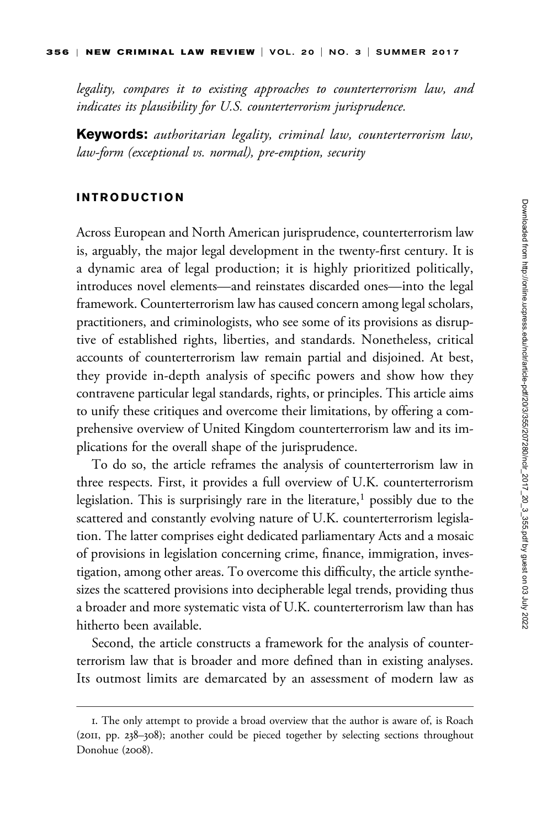legality, compares it to existing approaches to counterterrorism law, and indicates its plausibility for U.S. counterterrorism jurisprudence.

**Keywords:** authoritarian legality, criminal law, counterterrorism law, law-form (exceptional vs. normal), pre-emption, security

### INTRODUCTION

Across European and North American jurisprudence, counterterrorism law is, arguably, the major legal development in the twenty-first century. It is a dynamic area of legal production; it is highly prioritized politically, introduces novel elements—and reinstates discarded ones—into the legal framework. Counterterrorism law has caused concern among legal scholars, practitioners, and criminologists, who see some of its provisions as disruptive of established rights, liberties, and standards. Nonetheless, critical accounts of counterterrorism law remain partial and disjoined. At best, they provide in-depth analysis of specific powers and show how they contravene particular legal standards, rights, or principles. This article aims to unify these critiques and overcome their limitations, by offering a comprehensive overview of United Kingdom counterterrorism law and its implications for the overall shape of the jurisprudence.

To do so, the article reframes the analysis of counterterrorism law in three respects. First, it provides a full overview of U.K. counterterrorism legislation. This is surprisingly rare in the literature,<sup>1</sup> possibly due to the scattered and constantly evolving nature of U.K. counterterrorism legislation. The latter comprises eight dedicated parliamentary Acts and a mosaic of provisions in legislation concerning crime, finance, immigration, investigation, among other areas. To overcome this difficulty, the article synthesizes the scattered provisions into decipherable legal trends, providing thus a broader and more systematic vista of U.K. counterterrorism law than has hitherto been available.

Second, the article constructs a framework for the analysis of counterterrorism law that is broader and more defined than in existing analyses. Its outmost limits are demarcated by an assessment of modern law as

<sup>1.</sup> The only attempt to provide a broad overview that the author is aware of, is Roach (2011, pp. 238–308); another could be pieced together by selecting sections throughout Donohue (2008).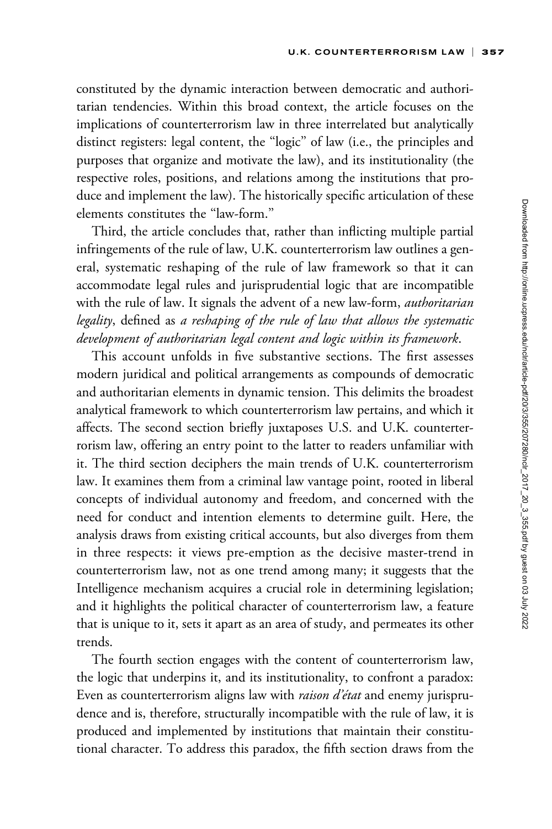constituted by the dynamic interaction between democratic and authoritarian tendencies. Within this broad context, the article focuses on the implications of counterterrorism law in three interrelated but analytically distinct registers: legal content, the ''logic'' of law (i.e., the principles and purposes that organize and motivate the law), and its institutionality (the respective roles, positions, and relations among the institutions that produce and implement the law). The historically specific articulation of these elements constitutes the ''law-form.''

Third, the article concludes that, rather than inflicting multiple partial infringements of the rule of law, U.K. counterterrorism law outlines a general, systematic reshaping of the rule of law framework so that it can accommodate legal rules and jurisprudential logic that are incompatible with the rule of law. It signals the advent of a new law-form, *authoritarian* legality, defined as a reshaping of the rule of law that allows the systematic development of authoritarian legal content and logic within its framework.

This account unfolds in five substantive sections. The first assesses modern juridical and political arrangements as compounds of democratic and authoritarian elements in dynamic tension. This delimits the broadest analytical framework to which counterterrorism law pertains, and which it affects. The second section briefly juxtaposes U.S. and U.K. counterterrorism law, offering an entry point to the latter to readers unfamiliar with it. The third section deciphers the main trends of U.K. counterterrorism law. It examines them from a criminal law vantage point, rooted in liberal concepts of individual autonomy and freedom, and concerned with the need for conduct and intention elements to determine guilt. Here, the analysis draws from existing critical accounts, but also diverges from them in three respects: it views pre-emption as the decisive master-trend in counterterrorism law, not as one trend among many; it suggests that the Intelligence mechanism acquires a crucial role in determining legislation; and it highlights the political character of counterterrorism law, a feature that is unique to it, sets it apart as an area of study, and permeates its other trends.

The fourth section engages with the content of counterterrorism law, the logic that underpins it, and its institutionality, to confront a paradox: Even as counterterrorism aligns law with *raison d'état* and enemy jurisprudence and is, therefore, structurally incompatible with the rule of law, it is produced and implemented by institutions that maintain their constitutional character. To address this paradox, the fifth section draws from the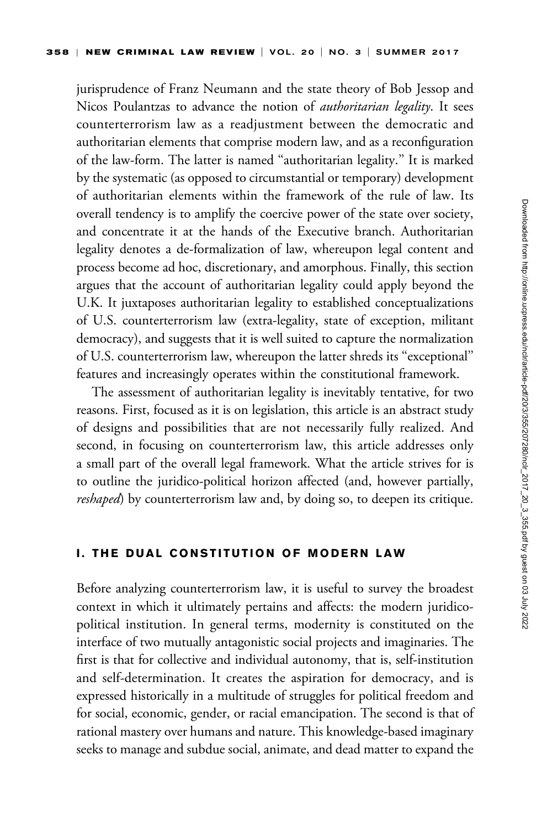jurisprudence of Franz Neumann and the state theory of Bob Jessop and Nicos Poulantzas to advance the notion of *authoritarian legality*. It sees counterterrorism law as a readjustment between the democratic and authoritarian elements that comprise modern law, and as a reconfiguration of the law-form. The latter is named ''authoritarian legality.'' It is marked by the systematic (as opposed to circumstantial or temporary) development of authoritarian elements within the framework of the rule of law. Its overall tendency is to amplify the coercive power of the state over society, and concentrate it at the hands of the Executive branch. Authoritarian legality denotes a de-formalization of law, whereupon legal content and process become ad hoc, discretionary, and amorphous. Finally, this section argues that the account of authoritarian legality could apply beyond the U.K. It juxtaposes authoritarian legality to established conceptualizations of U.S. counterterrorism law (extra-legality, state of exception, militant democracy), and suggests that it is well suited to capture the normalization of U.S. counterterrorism law, whereupon the latter shreds its ''exceptional'' features and increasingly operates within the constitutional framework.

The assessment of authoritarian legality is inevitably tentative, for two reasons. First, focused as it is on legislation, this article is an abstract study of designs and possibilities that are not necessarily fully realized. And second, in focusing on counterterrorism law, this article addresses only a small part of the overall legal framework. What the article strives for is to outline the juridico-political horizon affected (and, however partially, reshaped) by counterterrorism law and, by doing so, to deepen its critique.

### I. THE DUAL CONSTITUTION OF MODERN LAW

Before analyzing counterterrorism law, it is useful to survey the broadest context in which it ultimately pertains and affects: the modern juridicopolitical institution. In general terms, modernity is constituted on the interface of two mutually antagonistic social projects and imaginaries. The first is that for collective and individual autonomy, that is, self-institution and self-determination. It creates the aspiration for democracy, and is expressed historically in a multitude of struggles for political freedom and for social, economic, gender, or racial emancipation. The second is that of rational mastery over humans and nature. This knowledge-based imaginary seeks to manage and subdue social, animate, and dead matter to expand the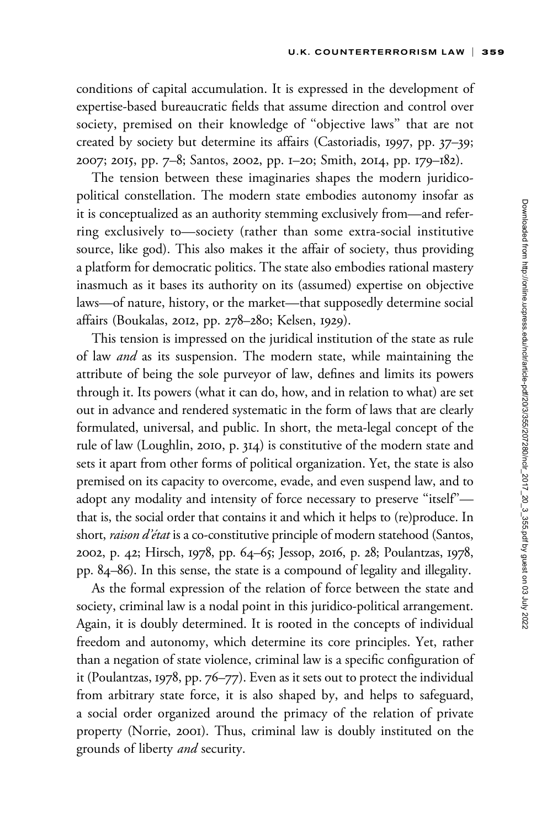conditions of capital accumulation. It is expressed in the development of expertise-based bureaucratic fields that assume direction and control over society, premised on their knowledge of ''objective laws'' that are not created by society but determine its affairs (Castoriadis, 1997, pp. 37–39; 2007; 2015, pp. 7–8; Santos, 2002, pp. 1–20; Smith, 2014, pp. 179–182).

The tension between these imaginaries shapes the modern juridicopolitical constellation. The modern state embodies autonomy insofar as it is conceptualized as an authority stemming exclusively from—and referring exclusively to—society (rather than some extra-social institutive source, like god). This also makes it the affair of society, thus providing a platform for democratic politics. The state also embodies rational mastery inasmuch as it bases its authority on its (assumed) expertise on objective laws—of nature, history, or the market—that supposedly determine social affairs (Boukalas, 2012, pp. 278–280; Kelsen, 1929).

This tension is impressed on the juridical institution of the state as rule of law *and* as its suspension. The modern state, while maintaining the attribute of being the sole purveyor of law, defines and limits its powers through it. Its powers (what it can do, how, and in relation to what) are set out in advance and rendered systematic in the form of laws that are clearly formulated, universal, and public. In short, the meta-legal concept of the rule of law (Loughlin, 2010, p. 314) is constitutive of the modern state and sets it apart from other forms of political organization. Yet, the state is also premised on its capacity to overcome, evade, and even suspend law, and to adopt any modality and intensity of force necessary to preserve "itself"that is, the social order that contains it and which it helps to (re)produce. In short, raison d'état is a co-constitutive principle of modern statehood (Santos, 2002, p. 42; Hirsch, 1978, pp. 64–65; Jessop, 2016, p. 28; Poulantzas, 1978, pp. 84–86). In this sense, the state is a compound of legality and illegality.

As the formal expression of the relation of force between the state and society, criminal law is a nodal point in this juridico-political arrangement. Again, it is doubly determined. It is rooted in the concepts of individual freedom and autonomy, which determine its core principles. Yet, rather than a negation of state violence, criminal law is a specific configuration of it (Poulantzas, 1978, pp. 76–77). Even as it sets out to protect the individual from arbitrary state force, it is also shaped by, and helps to safeguard, a social order organized around the primacy of the relation of private property (Norrie, 2001). Thus, criminal law is doubly instituted on the grounds of liberty and security.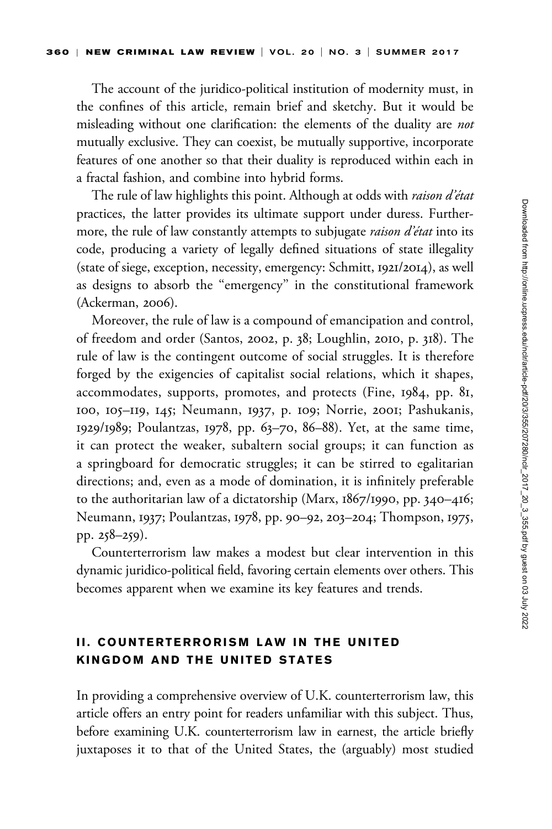The account of the juridico-political institution of modernity must, in the confines of this article, remain brief and sketchy. But it would be misleading without one clarification: the elements of the duality are not mutually exclusive. They can coexist, be mutually supportive, incorporate features of one another so that their duality is reproduced within each in a fractal fashion, and combine into hybrid forms.

The rule of law highlights this point. Although at odds with *raison d'état* practices, the latter provides its ultimate support under duress. Furthermore, the rule of law constantly attempts to subjugate *raison d'état* into its code, producing a variety of legally defined situations of state illegality (state of siege, exception, necessity, emergency: Schmitt, 1921/2014), as well as designs to absorb the ''emergency'' in the constitutional framework (Ackerman, 2006).

Moreover, the rule of law is a compound of emancipation and control, of freedom and order (Santos, 2002, p. 38; Loughlin, 2010, p. 318). The rule of law is the contingent outcome of social struggles. It is therefore forged by the exigencies of capitalist social relations, which it shapes, accommodates, supports, promotes, and protects (Fine, 1984, pp. 81, 100, 105–119, 145; Neumann, 1937, p. 109; Norrie, 2001; Pashukanis, 1929/1989; Poulantzas, 1978, pp. 63–70, 86–88). Yet, at the same time, it can protect the weaker, subaltern social groups; it can function as a springboard for democratic struggles; it can be stirred to egalitarian directions; and, even as a mode of domination, it is infinitely preferable to the authoritarian law of a dictatorship (Marx, 1867/1990, pp. 340–416; Neumann, 1937; Poulantzas, 1978, pp. 90–92, 203–204; Thompson, 1975, pp. 258–259).

Counterterrorism law makes a modest but clear intervention in this dynamic juridico-political field, favoring certain elements over others. This becomes apparent when we examine its key features and trends.

# II. COUNTERTERRORISM LAW IN THE UNITED KINGDOM AND THE UNITED STATES

In providing a comprehensive overview of U.K. counterterrorism law, this article offers an entry point for readers unfamiliar with this subject. Thus, before examining U.K. counterterrorism law in earnest, the article briefly juxtaposes it to that of the United States, the (arguably) most studied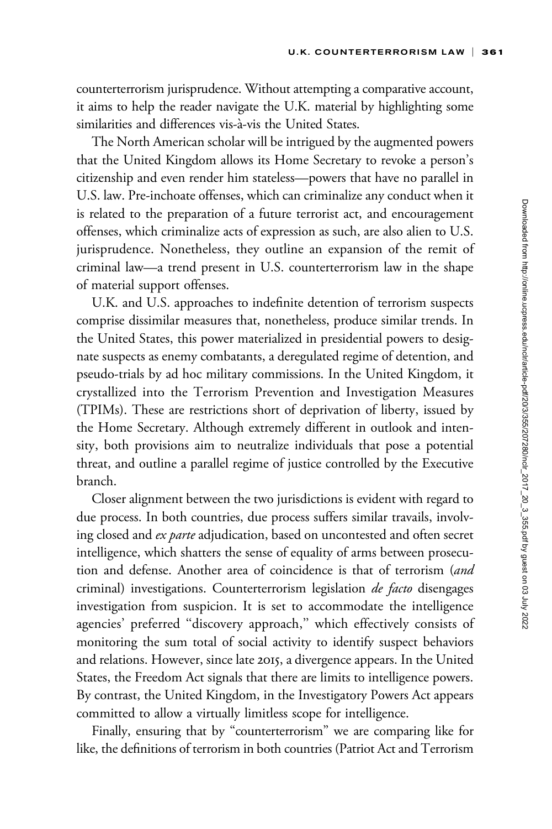counterterrorism jurisprudence. Without attempting a comparative account, it aims to help the reader navigate the U.K. material by highlighting some similarities and differences vis-à-vis the United States.

The North American scholar will be intrigued by the augmented powers that the United Kingdom allows its Home Secretary to revoke a person's citizenship and even render him stateless—powers that have no parallel in U.S. law. Pre-inchoate offenses, which can criminalize any conduct when it is related to the preparation of a future terrorist act, and encouragement offenses, which criminalize acts of expression as such, are also alien to U.S. jurisprudence. Nonetheless, they outline an expansion of the remit of criminal law—a trend present in U.S. counterterrorism law in the shape of material support offenses.

U.K. and U.S. approaches to indefinite detention of terrorism suspects comprise dissimilar measures that, nonetheless, produce similar trends. In the United States, this power materialized in presidential powers to designate suspects as enemy combatants, a deregulated regime of detention, and pseudo-trials by ad hoc military commissions. In the United Kingdom, it crystallized into the Terrorism Prevention and Investigation Measures (TPIMs). These are restrictions short of deprivation of liberty, issued by the Home Secretary. Although extremely different in outlook and intensity, both provisions aim to neutralize individuals that pose a potential threat, and outline a parallel regime of justice controlled by the Executive branch.

Closer alignment between the two jurisdictions is evident with regard to due process. In both countries, due process suffers similar travails, involving closed and *ex parte* adjudication, based on uncontested and often secret intelligence, which shatters the sense of equality of arms between prosecution and defense. Another area of coincidence is that of terrorism (and criminal) investigations. Counterterrorism legislation *de facto* disengages investigation from suspicion. It is set to accommodate the intelligence agencies' preferred ''discovery approach,'' which effectively consists of monitoring the sum total of social activity to identify suspect behaviors and relations. However, since late 2015, a divergence appears. In the United States, the Freedom Act signals that there are limits to intelligence powers. By contrast, the United Kingdom, in the Investigatory Powers Act appears committed to allow a virtually limitless scope for intelligence.

Finally, ensuring that by "counterterrorism" we are comparing like for like, the definitions of terrorism in both countries (Patriot Act and Terrorism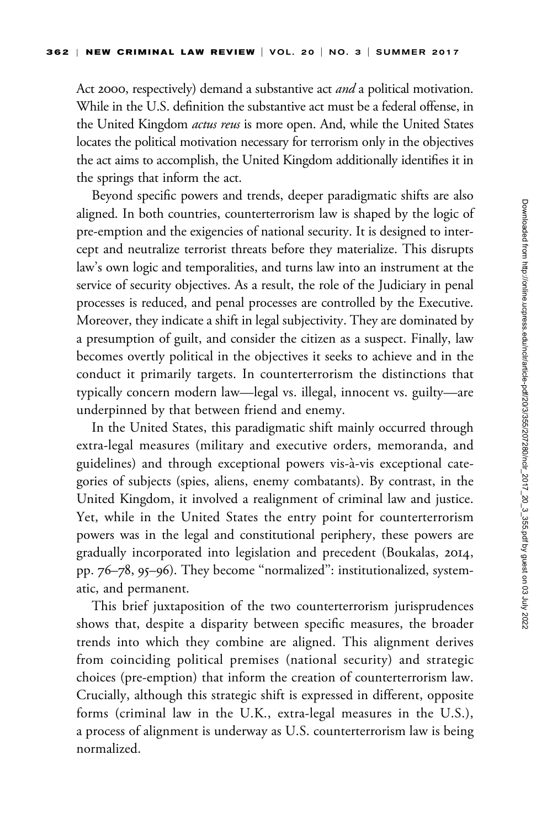Act 2000, respectively) demand a substantive act *and* a political motivation. While in the U.S. definition the substantive act must be a federal offense, in the United Kingdom *actus reus* is more open. And, while the United States locates the political motivation necessary for terrorism only in the objectives the act aims to accomplish, the United Kingdom additionally identifies it in the springs that inform the act.

Beyond specific powers and trends, deeper paradigmatic shifts are also aligned. In both countries, counterterrorism law is shaped by the logic of pre-emption and the exigencies of national security. It is designed to intercept and neutralize terrorist threats before they materialize. This disrupts law's own logic and temporalities, and turns law into an instrument at the service of security objectives. As a result, the role of the Judiciary in penal processes is reduced, and penal processes are controlled by the Executive. Moreover, they indicate a shift in legal subjectivity. They are dominated by a presumption of guilt, and consider the citizen as a suspect. Finally, law becomes overtly political in the objectives it seeks to achieve and in the conduct it primarily targets. In counterterrorism the distinctions that typically concern modern law—legal vs. illegal, innocent vs. guilty—are underpinned by that between friend and enemy.

In the United States, this paradigmatic shift mainly occurred through extra-legal measures (military and executive orders, memoranda, and guidelines) and through exceptional powers vis-à-vis exceptional categories of subjects (spies, aliens, enemy combatants). By contrast, in the United Kingdom, it involved a realignment of criminal law and justice. Yet, while in the United States the entry point for counterterrorism powers was in the legal and constitutional periphery, these powers are gradually incorporated into legislation and precedent (Boukalas, 2014, pp. 76–78, 95–96). They become ''normalized'': institutionalized, systematic, and permanent.

This brief juxtaposition of the two counterterrorism jurisprudences shows that, despite a disparity between specific measures, the broader trends into which they combine are aligned. This alignment derives from coinciding political premises (national security) and strategic choices (pre-emption) that inform the creation of counterterrorism law. Crucially, although this strategic shift is expressed in different, opposite forms (criminal law in the U.K., extra-legal measures in the U.S.), a process of alignment is underway as U.S. counterterrorism law is being normalized.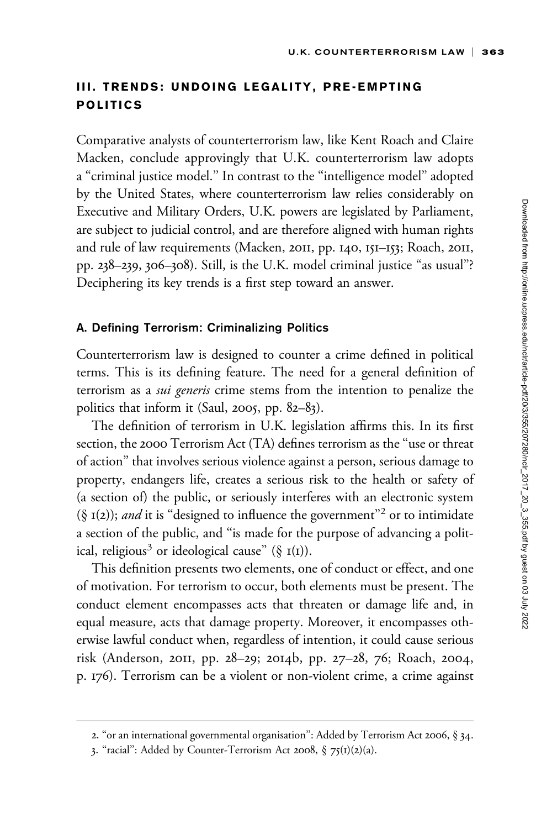# III. TRENDS: UNDOING LEGALITY, PRE-EMPTING POLITICS

Comparative analysts of counterterrorism law, like Kent Roach and Claire Macken, conclude approvingly that U.K. counterterrorism law adopts a ''criminal justice model.'' In contrast to the ''intelligence model'' adopted by the United States, where counterterrorism law relies considerably on Executive and Military Orders, U.K. powers are legislated by Parliament, are subject to judicial control, and are therefore aligned with human rights and rule of law requirements (Macken, 2011, pp. 140, 151–153; Roach, 2011, pp. 238–239, 306–308). Still, is the U.K. model criminal justice ''as usual''? Deciphering its key trends is a first step toward an answer.

### A. Defining Terrorism: Criminalizing Politics

Counterterrorism law is designed to counter a crime defined in political terms. This is its defining feature. The need for a general definition of terrorism as a sui generis crime stems from the intention to penalize the politics that inform it (Saul, 2005, pp. 82–83).

The definition of terrorism in U.K. legislation affirms this. In its first section, the 2000 Terrorism Act (TA) defines terrorism as the ''use or threat of action'' that involves serious violence against a person, serious damage to property, endangers life, creates a serious risk to the health or safety of (a section of) the public, or seriously interferes with an electronic system (§  $I(2)$ ); and it is "designed to influence the government"<sup>2</sup> or to intimidate a section of the public, and ''is made for the purpose of advancing a political, religious<sup>3</sup> or ideological cause" (§  $I(I)$ ).

This definition presents two elements, one of conduct or effect, and one of motivation. For terrorism to occur, both elements must be present. The conduct element encompasses acts that threaten or damage life and, in equal measure, acts that damage property. Moreover, it encompasses otherwise lawful conduct when, regardless of intention, it could cause serious risk (Anderson, 2011, pp. 28–29; 2014b, pp. 27–28, 76; Roach, 2004, p. 176). Terrorism can be a violent or non-violent crime, a crime against

<sup>2. &</sup>quot;or an international governmental organisation": Added by Terrorism Act 2006, § 34.

<sup>3.</sup> ''racial'': Added by Counter-Terrorism Act 2008, § 75(1)(2)(a).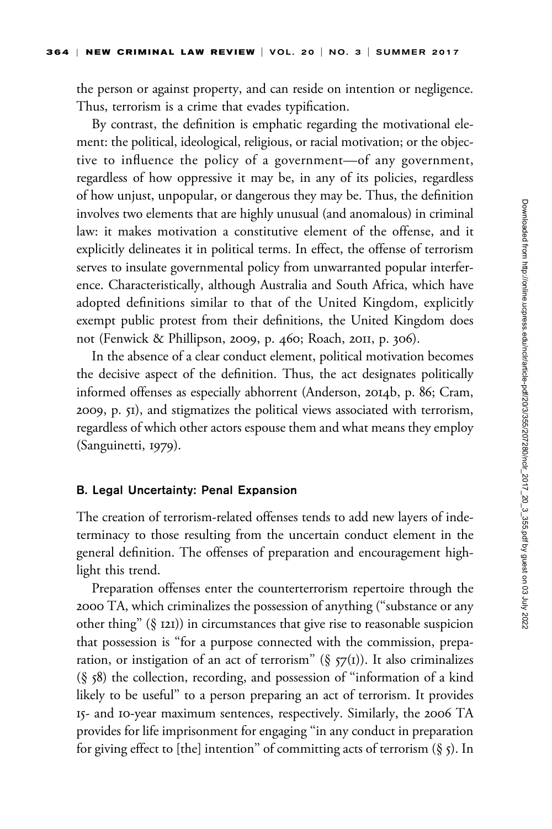the person or against property, and can reside on intention or negligence. Thus, terrorism is a crime that evades typification.

By contrast, the definition is emphatic regarding the motivational element: the political, ideological, religious, or racial motivation; or the objective to influence the policy of a government—of any government, regardless of how oppressive it may be, in any of its policies, regardless of how unjust, unpopular, or dangerous they may be. Thus, the definition involves two elements that are highly unusual (and anomalous) in criminal law: it makes motivation a constitutive element of the offense, and it explicitly delineates it in political terms. In effect, the offense of terrorism serves to insulate governmental policy from unwarranted popular interference. Characteristically, although Australia and South Africa, which have adopted definitions similar to that of the United Kingdom, explicitly exempt public protest from their definitions, the United Kingdom does not (Fenwick & Phillipson, 2009, p. 460; Roach, 2011, p. 306).

In the absence of a clear conduct element, political motivation becomes the decisive aspect of the definition. Thus, the act designates politically informed offenses as especially abhorrent (Anderson, 2014b, p. 86; Cram, 2009, p. 51), and stigmatizes the political views associated with terrorism, regardless of which other actors espouse them and what means they employ (Sanguinetti, 1979).

#### B. Legal Uncertainty: Penal Expansion

The creation of terrorism-related offenses tends to add new layers of indeterminacy to those resulting from the uncertain conduct element in the general definition. The offenses of preparation and encouragement highlight this trend.

Preparation offenses enter the counterterrorism repertoire through the 2000 TA, which criminalizes the possession of anything (''substance or any other thing'' (§ 121)) in circumstances that give rise to reasonable suspicion that possession is ''for a purpose connected with the commission, preparation, or instigation of an act of terrorism" ( $\S$   $57<sup>(1)</sup>$ ). It also criminalizes (§ 58) the collection, recording, and possession of ''information of a kind likely to be useful'' to a person preparing an act of terrorism. It provides 15- and 10-year maximum sentences, respectively. Similarly, the 2006 TA provides for life imprisonment for engaging ''in any conduct in preparation for giving effect to [the] intention" of committing acts of terrorism  $(\S$  5). In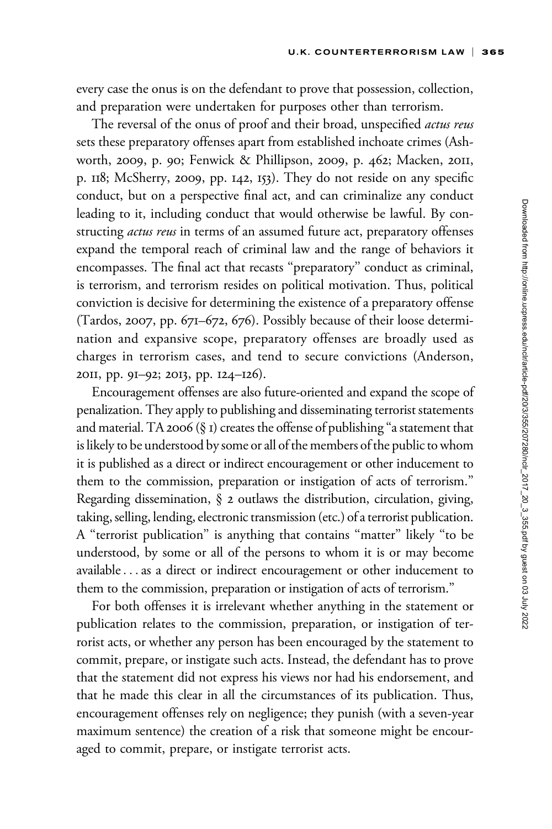every case the onus is on the defendant to prove that possession, collection, and preparation were undertaken for purposes other than terrorism.

The reversal of the onus of proof and their broad, unspecified actus reus sets these preparatory offenses apart from established inchoate crimes (Ashworth, 2009, p. 90; Fenwick & Phillipson, 2009, p. 462; Macken, 2011, p. 118; McSherry, 2009, pp. 142, 153). They do not reside on any specific conduct, but on a perspective final act, and can criminalize any conduct leading to it, including conduct that would otherwise be lawful. By constructing *actus reus* in terms of an assumed future act, preparatory offenses expand the temporal reach of criminal law and the range of behaviors it encompasses. The final act that recasts ''preparatory'' conduct as criminal, is terrorism, and terrorism resides on political motivation. Thus, political conviction is decisive for determining the existence of a preparatory offense (Tardos, 2007, pp. 671–672, 676). Possibly because of their loose determination and expansive scope, preparatory offenses are broadly used as charges in terrorism cases, and tend to secure convictions (Anderson, 2011, pp. 91–92; 2013, pp. 124–126).

Encouragement offenses are also future-oriented and expand the scope of penalization. They apply to publishing and disseminating terrorist statements and material. TA 2006 ( $\S$  I) creates the offense of publishing "a statement that is likely to be understood by some or all of the members of the public to whom it is published as a direct or indirect encouragement or other inducement to them to the commission, preparation or instigation of acts of terrorism.'' Regarding dissemination, § 2 outlaws the distribution, circulation, giving, taking, selling, lending, electronic transmission (etc.) of a terrorist publication. A ''terrorist publication'' is anything that contains ''matter'' likely ''to be understood, by some or all of the persons to whom it is or may become available...as a direct or indirect encouragement or other inducement to them to the commission, preparation or instigation of acts of terrorism.''

For both offenses it is irrelevant whether anything in the statement or publication relates to the commission, preparation, or instigation of terrorist acts, or whether any person has been encouraged by the statement to commit, prepare, or instigate such acts. Instead, the defendant has to prove that the statement did not express his views nor had his endorsement, and that he made this clear in all the circumstances of its publication. Thus, encouragement offenses rely on negligence; they punish (with a seven-year maximum sentence) the creation of a risk that someone might be encouraged to commit, prepare, or instigate terrorist acts.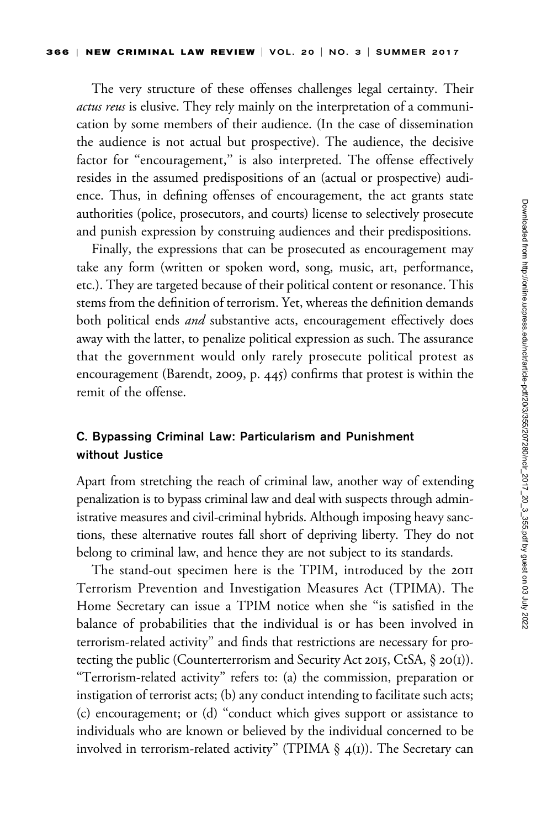The very structure of these offenses challenges legal certainty. Their actus reus is elusive. They rely mainly on the interpretation of a communication by some members of their audience. (In the case of dissemination the audience is not actual but prospective). The audience, the decisive factor for "encouragement," is also interpreted. The offense effectively resides in the assumed predispositions of an (actual or prospective) audience. Thus, in defining offenses of encouragement, the act grants state authorities (police, prosecutors, and courts) license to selectively prosecute and punish expression by construing audiences and their predispositions.

Finally, the expressions that can be prosecuted as encouragement may take any form (written or spoken word, song, music, art, performance, etc.). They are targeted because of their political content or resonance. This stems from the definition of terrorism. Yet, whereas the definition demands both political ends and substantive acts, encouragement effectively does away with the latter, to penalize political expression as such. The assurance that the government would only rarely prosecute political protest as encouragement (Barendt, 2009, p. 445) confirms that protest is within the remit of the offense.

# C. Bypassing Criminal Law: Particularism and Punishment without Justice

Apart from stretching the reach of criminal law, another way of extending penalization is to bypass criminal law and deal with suspects through administrative measures and civil-criminal hybrids. Although imposing heavy sanctions, these alternative routes fall short of depriving liberty. They do not belong to criminal law, and hence they are not subject to its standards.

The stand-out specimen here is the TPIM, introduced by the 2011 Terrorism Prevention and Investigation Measures Act (TPIMA). The Home Secretary can issue a TPIM notice when she ''is satisfied in the balance of probabilities that the individual is or has been involved in terrorism-related activity'' and finds that restrictions are necessary for protecting the public (Counterterrorism and Security Act 2015, CtSA, § 20(1)). ''Terrorism-related activity'' refers to: (a) the commission, preparation or instigation of terrorist acts; (b) any conduct intending to facilitate such acts; (c) encouragement; or (d) ''conduct which gives support or assistance to individuals who are known or believed by the individual concerned to be involved in terrorism-related activity" (TPIMA  $\S$  4(1)). The Secretary can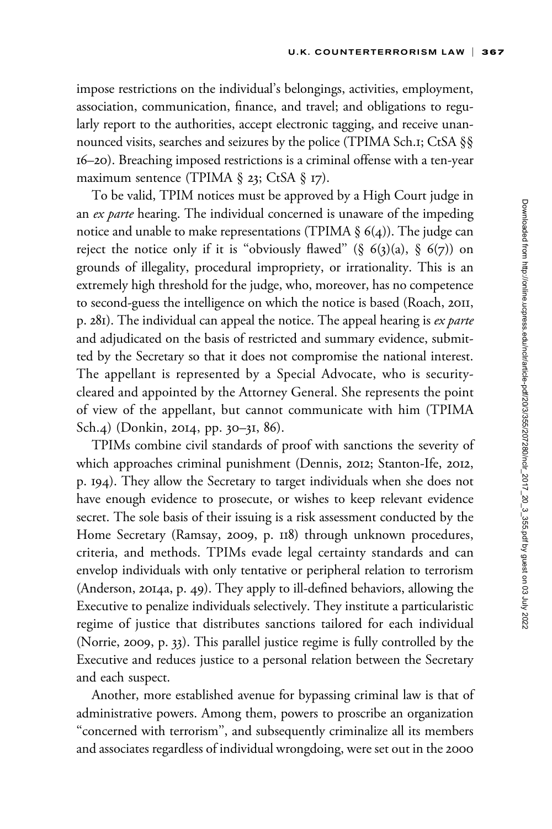impose restrictions on the individual's belongings, activities, employment, association, communication, finance, and travel; and obligations to regularly report to the authorities, accept electronic tagging, and receive unannounced visits, searches and seizures by the police (TPIMA Sch.1; CtSA §§ 16–20). Breaching imposed restrictions is a criminal offense with a ten-year maximum sentence (TPIMA  $\S$  23; CtSA  $\S$  17).

To be valid, TPIM notices must be approved by a High Court judge in an *ex parte* hearing. The individual concerned is unaware of the impeding notice and unable to make representations (TPIMA  $\S$  6(4)). The judge can reject the notice only if it is "obviously flawed" (§  $6(3)(a)$ , §  $6(7)$ ) on grounds of illegality, procedural impropriety, or irrationality. This is an extremely high threshold for the judge, who, moreover, has no competence to second-guess the intelligence on which the notice is based (Roach, 2011, p. 281). The individual can appeal the notice. The appeal hearing is ex parte and adjudicated on the basis of restricted and summary evidence, submitted by the Secretary so that it does not compromise the national interest. The appellant is represented by a Special Advocate, who is securitycleared and appointed by the Attorney General. She represents the point of view of the appellant, but cannot communicate with him (TPIMA Sch.4) (Donkin, 2014, pp. 30–31, 86).

TPIMs combine civil standards of proof with sanctions the severity of which approaches criminal punishment (Dennis, 2012; Stanton-Ife, 2012, p. 194). They allow the Secretary to target individuals when she does not have enough evidence to prosecute, or wishes to keep relevant evidence secret. The sole basis of their issuing is a risk assessment conducted by the Home Secretary (Ramsay, 2009, p. 118) through unknown procedures, criteria, and methods. TPIMs evade legal certainty standards and can envelop individuals with only tentative or peripheral relation to terrorism (Anderson, 2014a, p. 49). They apply to ill-defined behaviors, allowing the Executive to penalize individuals selectively. They institute a particularistic regime of justice that distributes sanctions tailored for each individual (Norrie, 2009, p. 33). This parallel justice regime is fully controlled by the Executive and reduces justice to a personal relation between the Secretary and each suspect.

Another, more established avenue for bypassing criminal law is that of administrative powers. Among them, powers to proscribe an organization ''concerned with terrorism'', and subsequently criminalize all its members and associates regardless of individual wrongdoing, were set out in the 2000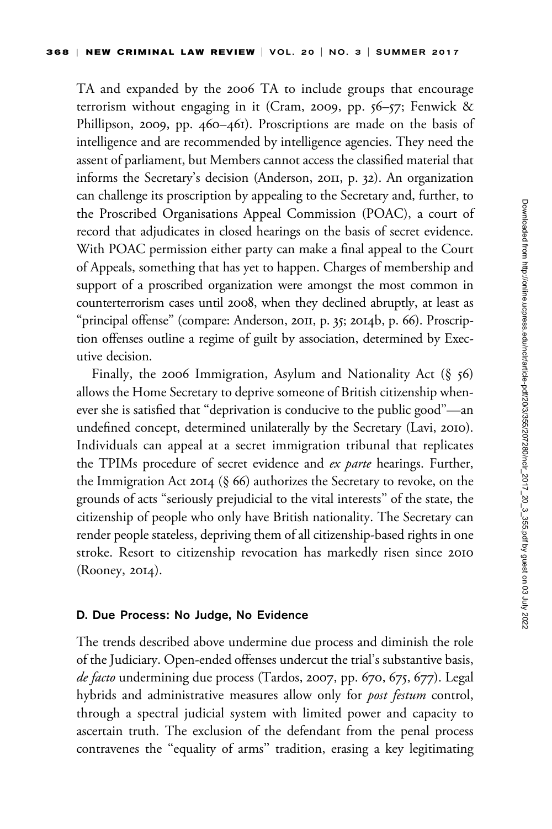TA and expanded by the 2006 TA to include groups that encourage terrorism without engaging in it (Cram, 2009, pp. 56–57; Fenwick & Phillipson, 2009, pp. 460–461). Proscriptions are made on the basis of intelligence and are recommended by intelligence agencies. They need the assent of parliament, but Members cannot access the classified material that informs the Secretary's decision (Anderson, 2011, p. 32). An organization can challenge its proscription by appealing to the Secretary and, further, to the Proscribed Organisations Appeal Commission (POAC), a court of record that adjudicates in closed hearings on the basis of secret evidence. With POAC permission either party can make a final appeal to the Court of Appeals, something that has yet to happen. Charges of membership and support of a proscribed organization were amongst the most common in counterterrorism cases until 2008, when they declined abruptly, at least as "principal offense" (compare: Anderson, 2011, p. 35; 2014b, p. 66). Proscription offenses outline a regime of guilt by association, determined by Executive decision.

Finally, the 2006 Immigration, Asylum and Nationality Act  $(\S 56)$ allows the Home Secretary to deprive someone of British citizenship whenever she is satisfied that ''deprivation is conducive to the public good''—an undefined concept, determined unilaterally by the Secretary (Lavi, 2010). Individuals can appeal at a secret immigration tribunal that replicates the TPIMs procedure of secret evidence and ex parte hearings. Further, the Immigration Act 2014 (§ 66) authorizes the Secretary to revoke, on the grounds of acts ''seriously prejudicial to the vital interests'' of the state, the citizenship of people who only have British nationality. The Secretary can render people stateless, depriving them of all citizenship-based rights in one stroke. Resort to citizenship revocation has markedly risen since 2010 (Rooney, 2014).

### D. Due Process: No Judge, No Evidence

The trends described above undermine due process and diminish the role of the Judiciary. Open-ended offenses undercut the trial's substantive basis, de facto undermining due process (Tardos, 2007, pp. 670, 675, 677). Legal hybrids and administrative measures allow only for *post festum* control, through a spectral judicial system with limited power and capacity to ascertain truth. The exclusion of the defendant from the penal process contravenes the ''equality of arms'' tradition, erasing a key legitimating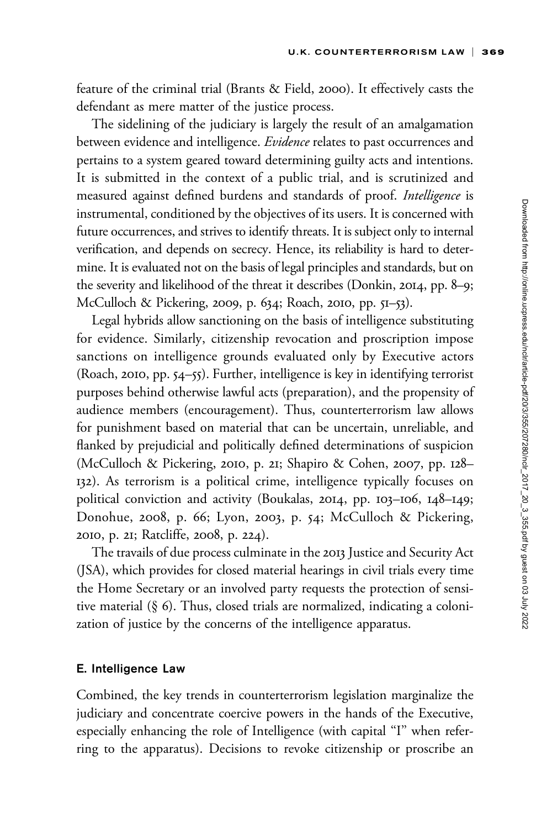feature of the criminal trial (Brants & Field, 2000). It effectively casts the defendant as mere matter of the justice process.

The sidelining of the judiciary is largely the result of an amalgamation between evidence and intelligence. Evidence relates to past occurrences and pertains to a system geared toward determining guilty acts and intentions. It is submitted in the context of a public trial, and is scrutinized and measured against defined burdens and standards of proof. Intelligence is instrumental, conditioned by the objectives of its users. It is concerned with future occurrences, and strives to identify threats. It is subject only to internal verification, and depends on secrecy. Hence, its reliability is hard to determine. It is evaluated not on the basis of legal principles and standards, but on the severity and likelihood of the threat it describes (Donkin, 2014, pp. 8–9; McCulloch & Pickering, 2009, p. 634; Roach, 2010, pp. 51–53).

Legal hybrids allow sanctioning on the basis of intelligence substituting for evidence. Similarly, citizenship revocation and proscription impose sanctions on intelligence grounds evaluated only by Executive actors (Roach, 2010, pp. 54–55). Further, intelligence is key in identifying terrorist purposes behind otherwise lawful acts (preparation), and the propensity of audience members (encouragement). Thus, counterterrorism law allows for punishment based on material that can be uncertain, unreliable, and flanked by prejudicial and politically defined determinations of suspicion (McCulloch & Pickering, 2010, p. 21; Shapiro & Cohen, 2007, pp. 128– 132). As terrorism is a political crime, intelligence typically focuses on political conviction and activity (Boukalas, 2014, pp. 103–106, 148–149; Donohue, 2008, p. 66; Lyon, 2003, p. 54; McCulloch & Pickering, 2010, p. 21; Ratcliffe, 2008, p. 224).

The travails of due process culminate in the 2013 Justice and Security Act (JSA), which provides for closed material hearings in civil trials every time the Home Secretary or an involved party requests the protection of sensitive material (§ 6). Thus, closed trials are normalized, indicating a colonization of justice by the concerns of the intelligence apparatus.

### E. Intelligence Law

Combined, the key trends in counterterrorism legislation marginalize the judiciary and concentrate coercive powers in the hands of the Executive, especially enhancing the role of Intelligence (with capital "I" when referring to the apparatus). Decisions to revoke citizenship or proscribe an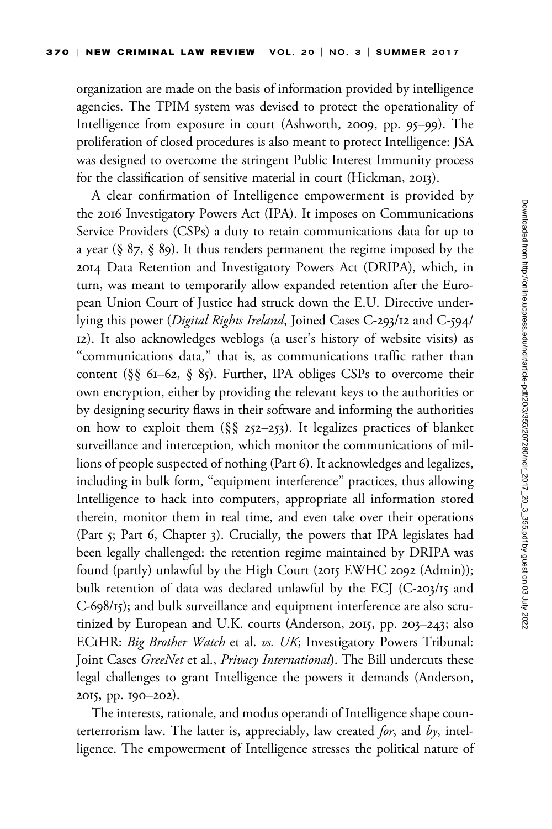organization are made on the basis of information provided by intelligence agencies. The TPIM system was devised to protect the operationality of Intelligence from exposure in court (Ashworth, 2009, pp. 95–99). The proliferation of closed procedures is also meant to protect Intelligence: JSA was designed to overcome the stringent Public Interest Immunity process for the classification of sensitive material in court (Hickman, 2013).

A clear confirmation of Intelligence empowerment is provided by the 2016 Investigatory Powers Act (IPA). It imposes on Communications Service Providers (CSPs) a duty to retain communications data for up to a year (§ 87, § 89). It thus renders permanent the regime imposed by the 2014 Data Retention and Investigatory Powers Act (DRIPA), which, in turn, was meant to temporarily allow expanded retention after the European Union Court of Justice had struck down the E.U. Directive underlying this power (Digital Rights Ireland, Joined Cases C-293/12 and C-594/ 12). It also acknowledges weblogs (a user's history of website visits) as ''communications data,'' that is, as communications traffic rather than content (§§ 61–62, § 85). Further, IPA obliges CSPs to overcome their own encryption, either by providing the relevant keys to the authorities or by designing security flaws in their software and informing the authorities on how to exploit them  $(\S_{\S}$  252–253). It legalizes practices of blanket surveillance and interception, which monitor the communications of millions of people suspected of nothing (Part 6). It acknowledges and legalizes, including in bulk form, "equipment interference" practices, thus allowing Intelligence to hack into computers, appropriate all information stored therein, monitor them in real time, and even take over their operations (Part 5; Part 6, Chapter 3). Crucially, the powers that IPA legislates had been legally challenged: the retention regime maintained by DRIPA was found (partly) unlawful by the High Court (2015 EWHC 2092 (Admin)); bulk retention of data was declared unlawful by the ECJ (C-203/15 and C-698/15); and bulk surveillance and equipment interference are also scrutinized by European and U.K. courts (Anderson, 2015, pp. 203–243; also ECtHR: Big Brother Watch et al. vs. UK; Investigatory Powers Tribunal: Joint Cases GreeNet et al., Privacy International). The Bill undercuts these legal challenges to grant Intelligence the powers it demands (Anderson, 2015, pp. 190–202).

The interests, rationale, and modus operandi of Intelligence shape counterterrorism law. The latter is, appreciably, law created *for*, and  $by$ , intelligence. The empowerment of Intelligence stresses the political nature of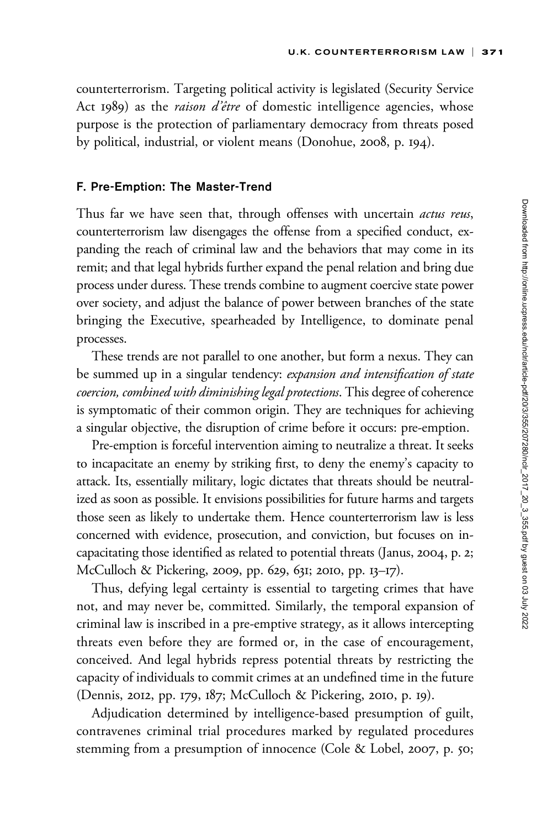counterterrorism. Targeting political activity is legislated (Security Service Act 1989) as the raison d'être of domestic intelligence agencies, whose purpose is the protection of parliamentary democracy from threats posed by political, industrial, or violent means (Donohue, 2008, p. 194).

#### F. Pre-Emption: The Master-Trend

Thus far we have seen that, through offenses with uncertain *actus reus*, counterterrorism law disengages the offense from a specified conduct, expanding the reach of criminal law and the behaviors that may come in its remit; and that legal hybrids further expand the penal relation and bring due process under duress. These trends combine to augment coercive state power over society, and adjust the balance of power between branches of the state bringing the Executive, spearheaded by Intelligence, to dominate penal processes.

These trends are not parallel to one another, but form a nexus. They can be summed up in a singular tendency: expansion and intensification of state coercion, combined with diminishing legal protections. This degree of coherence is symptomatic of their common origin. They are techniques for achieving a singular objective, the disruption of crime before it occurs: pre-emption.

Pre-emption is forceful intervention aiming to neutralize a threat. It seeks to incapacitate an enemy by striking first, to deny the enemy's capacity to attack. Its, essentially military, logic dictates that threats should be neutralized as soon as possible. It envisions possibilities for future harms and targets those seen as likely to undertake them. Hence counterterrorism law is less concerned with evidence, prosecution, and conviction, but focuses on incapacitating those identified as related to potential threats (Janus, 2004, p. 2; McCulloch & Pickering, 2009, pp. 629, 631; 2010, pp. 13–17).

Thus, defying legal certainty is essential to targeting crimes that have not, and may never be, committed. Similarly, the temporal expansion of criminal law is inscribed in a pre-emptive strategy, as it allows intercepting threats even before they are formed or, in the case of encouragement, conceived. And legal hybrids repress potential threats by restricting the capacity of individuals to commit crimes at an undefined time in the future (Dennis, 2012, pp. 179, 187; McCulloch & Pickering, 2010, p. 19).

Adjudication determined by intelligence-based presumption of guilt, contravenes criminal trial procedures marked by regulated procedures stemming from a presumption of innocence (Cole & Lobel, 2007, p. 50;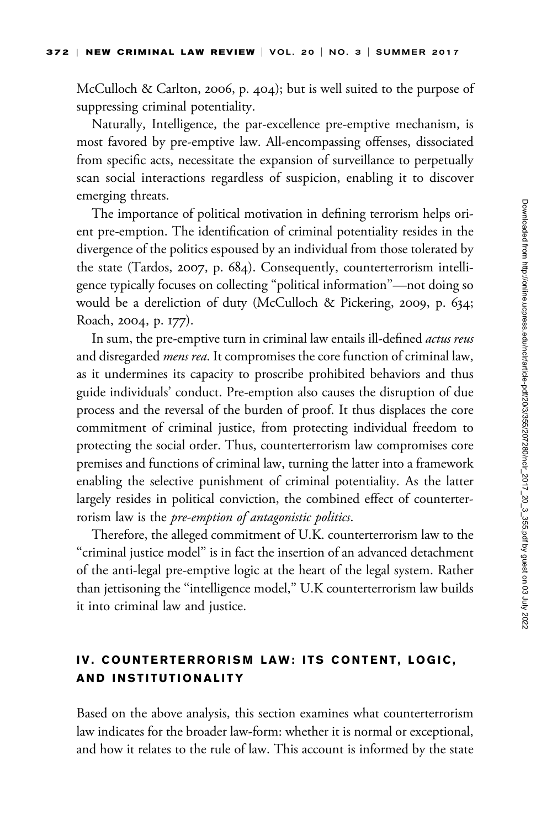McCulloch & Carlton, 2006, p. 404); but is well suited to the purpose of suppressing criminal potentiality.

Naturally, Intelligence, the par-excellence pre-emptive mechanism, is most favored by pre-emptive law. All-encompassing offenses, dissociated from specific acts, necessitate the expansion of surveillance to perpetually scan social interactions regardless of suspicion, enabling it to discover emerging threats.

The importance of political motivation in defining terrorism helps orient pre-emption. The identification of criminal potentiality resides in the divergence of the politics espoused by an individual from those tolerated by the state (Tardos, 2007, p. 684). Consequently, counterterrorism intelligence typically focuses on collecting ''political information''—not doing so would be a dereliction of duty (McCulloch & Pickering, 2009, p. 634; Roach, 2004, p. 177).

In sum, the pre-emptive turn in criminal law entails ill-defined *actus reus* and disregarded *mens rea*. It compromises the core function of criminal law, as it undermines its capacity to proscribe prohibited behaviors and thus guide individuals' conduct. Pre-emption also causes the disruption of due process and the reversal of the burden of proof. It thus displaces the core commitment of criminal justice, from protecting individual freedom to protecting the social order. Thus, counterterrorism law compromises core premises and functions of criminal law, turning the latter into a framework enabling the selective punishment of criminal potentiality. As the latter largely resides in political conviction, the combined effect of counterterrorism law is the pre-emption of antagonistic politics.

Therefore, the alleged commitment of U.K. counterterrorism law to the ''criminal justice model'' is in fact the insertion of an advanced detachment of the anti-legal pre-emptive logic at the heart of the legal system. Rather than jettisoning the ''intelligence model,'' U.K counterterrorism law builds it into criminal law and justice.

# IV. COUNTERTERRORISM LAW: ITS CONTENT, LOGIC, AND INSTITUTIONALITY

Based on the above analysis, this section examines what counterterrorism law indicates for the broader law-form: whether it is normal or exceptional, and how it relates to the rule of law. This account is informed by the state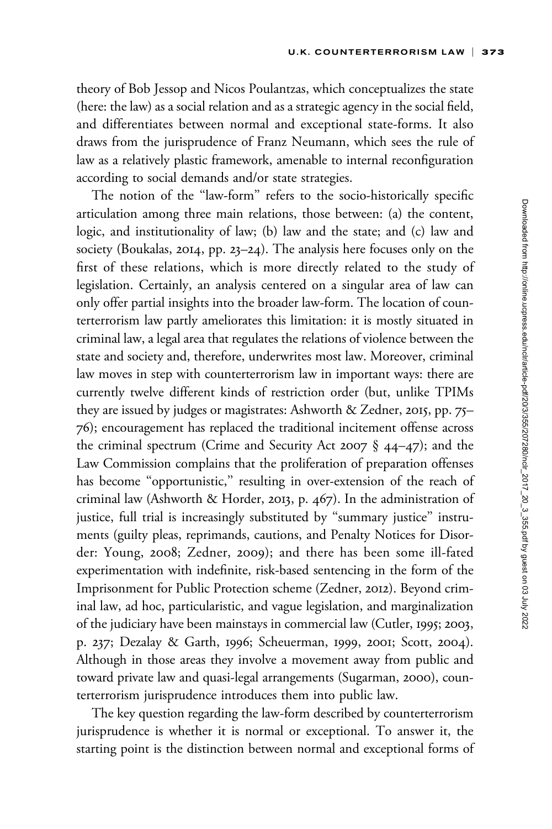theory of Bob Jessop and Nicos Poulantzas, which conceptualizes the state (here: the law) as a social relation and as a strategic agency in the social field, and differentiates between normal and exceptional state-forms. It also draws from the jurisprudence of Franz Neumann, which sees the rule of law as a relatively plastic framework, amenable to internal reconfiguration according to social demands and/or state strategies.

The notion of the ''law-form'' refers to the socio-historically specific articulation among three main relations, those between: (a) the content, logic, and institutionality of law; (b) law and the state; and (c) law and society (Boukalas, 2014, pp. 23–24). The analysis here focuses only on the first of these relations, which is more directly related to the study of legislation. Certainly, an analysis centered on a singular area of law can only offer partial insights into the broader law-form. The location of counterterrorism law partly ameliorates this limitation: it is mostly situated in criminal law, a legal area that regulates the relations of violence between the state and society and, therefore, underwrites most law. Moreover, criminal law moves in step with counterterrorism law in important ways: there are currently twelve different kinds of restriction order (but, unlike TPIMs they are issued by judges or magistrates: Ashworth & Zedner, 2015, pp. 75– 76); encouragement has replaced the traditional incitement offense across the criminal spectrum (Crime and Security Act 2007 § 44–47); and the Law Commission complains that the proliferation of preparation offenses has become "opportunistic," resulting in over-extension of the reach of criminal law (Ashworth & Horder, 2013, p. 467). In the administration of justice, full trial is increasingly substituted by ''summary justice'' instruments (guilty pleas, reprimands, cautions, and Penalty Notices for Disorder: Young, 2008; Zedner, 2009); and there has been some ill-fated experimentation with indefinite, risk-based sentencing in the form of the Imprisonment for Public Protection scheme (Zedner, 2012). Beyond criminal law, ad hoc, particularistic, and vague legislation, and marginalization of the judiciary have been mainstays in commercial law (Cutler, 1995; 2003, p. 237; Dezalay & Garth, 1996; Scheuerman, 1999, 2001; Scott, 2004). Although in those areas they involve a movement away from public and toward private law and quasi-legal arrangements (Sugarman, 2000), counterterrorism jurisprudence introduces them into public law.

The key question regarding the law-form described by counterterrorism jurisprudence is whether it is normal or exceptional. To answer it, the starting point is the distinction between normal and exceptional forms of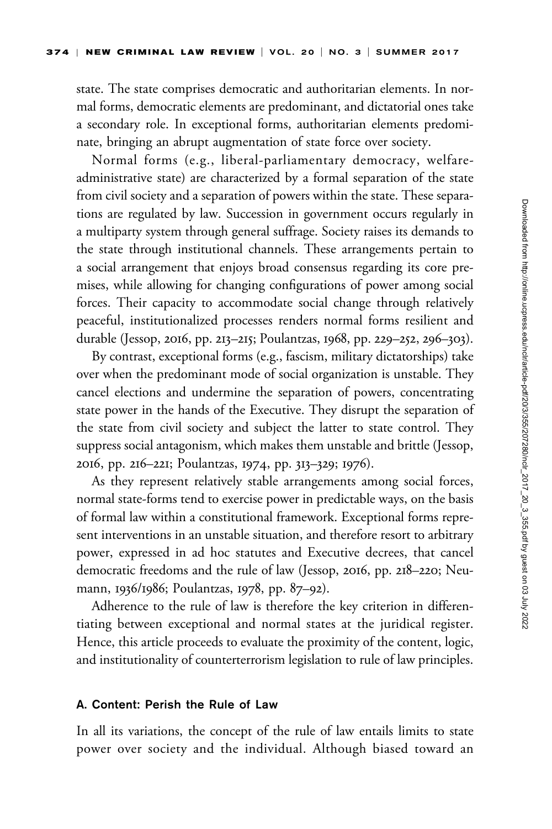state. The state comprises democratic and authoritarian elements. In normal forms, democratic elements are predominant, and dictatorial ones take a secondary role. In exceptional forms, authoritarian elements predominate, bringing an abrupt augmentation of state force over society.

Normal forms (e.g., liberal-parliamentary democracy, welfareadministrative state) are characterized by a formal separation of the state from civil society and a separation of powers within the state. These separations are regulated by law. Succession in government occurs regularly in a multiparty system through general suffrage. Society raises its demands to the state through institutional channels. These arrangements pertain to a social arrangement that enjoys broad consensus regarding its core premises, while allowing for changing configurations of power among social forces. Their capacity to accommodate social change through relatively peaceful, institutionalized processes renders normal forms resilient and durable (Jessop, 2016, pp. 213–215; Poulantzas, 1968, pp. 229–252, 296–303).

By contrast, exceptional forms (e.g., fascism, military dictatorships) take over when the predominant mode of social organization is unstable. They cancel elections and undermine the separation of powers, concentrating state power in the hands of the Executive. They disrupt the separation of the state from civil society and subject the latter to state control. They suppress social antagonism, which makes them unstable and brittle (Jessop, 2016, pp. 216–221; Poulantzas, 1974, pp. 313–329; 1976).

As they represent relatively stable arrangements among social forces, normal state-forms tend to exercise power in predictable ways, on the basis of formal law within a constitutional framework. Exceptional forms represent interventions in an unstable situation, and therefore resort to arbitrary power, expressed in ad hoc statutes and Executive decrees, that cancel democratic freedoms and the rule of law (Jessop, 2016, pp. 218–220; Neumann, 1936/1986; Poulantzas, 1978, pp. 87–92).

Adherence to the rule of law is therefore the key criterion in differentiating between exceptional and normal states at the juridical register. Hence, this article proceeds to evaluate the proximity of the content, logic, and institutionality of counterterrorism legislation to rule of law principles.

### A. Content: Perish the Rule of Law

In all its variations, the concept of the rule of law entails limits to state power over society and the individual. Although biased toward an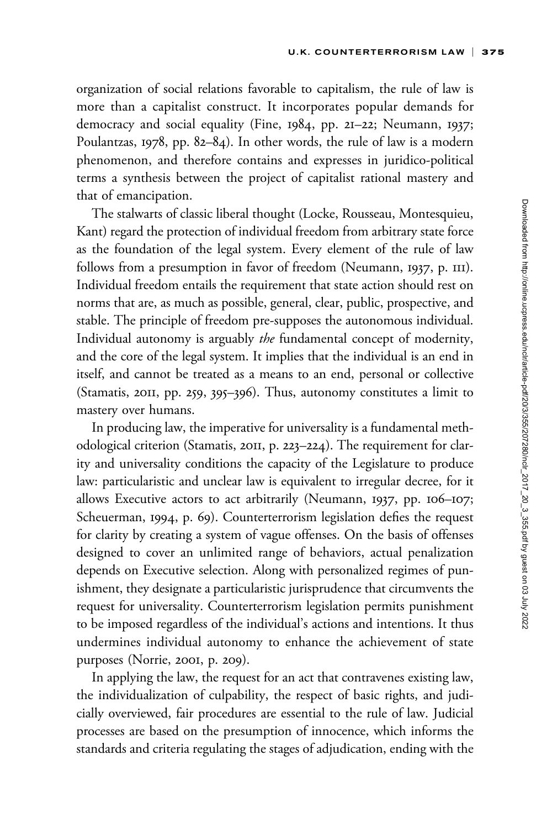organization of social relations favorable to capitalism, the rule of law is more than a capitalist construct. It incorporates popular demands for democracy and social equality (Fine, 1984, pp. 21–22; Neumann, 1937; Poulantzas, 1978, pp. 82–84). In other words, the rule of law is a modern phenomenon, and therefore contains and expresses in juridico-political terms a synthesis between the project of capitalist rational mastery and that of emancipation.

The stalwarts of classic liberal thought (Locke, Rousseau, Montesquieu, Kant) regard the protection of individual freedom from arbitrary state force as the foundation of the legal system. Every element of the rule of law follows from a presumption in favor of freedom (Neumann, 1937, p. 111). Individual freedom entails the requirement that state action should rest on norms that are, as much as possible, general, clear, public, prospective, and stable. The principle of freedom pre-supposes the autonomous individual. Individual autonomy is arguably the fundamental concept of modernity, and the core of the legal system. It implies that the individual is an end in itself, and cannot be treated as a means to an end, personal or collective (Stamatis, 2011, pp. 259, 395–396). Thus, autonomy constitutes a limit to mastery over humans.

In producing law, the imperative for universality is a fundamental methodological criterion (Stamatis, 2011, p. 223–224). The requirement for clarity and universality conditions the capacity of the Legislature to produce law: particularistic and unclear law is equivalent to irregular decree, for it allows Executive actors to act arbitrarily (Neumann, 1937, pp. 106–107; Scheuerman, 1994, p. 69). Counterterrorism legislation defies the request for clarity by creating a system of vague offenses. On the basis of offenses designed to cover an unlimited range of behaviors, actual penalization depends on Executive selection. Along with personalized regimes of punishment, they designate a particularistic jurisprudence that circumvents the request for universality. Counterterrorism legislation permits punishment to be imposed regardless of the individual's actions and intentions. It thus undermines individual autonomy to enhance the achievement of state purposes (Norrie, 2001, p. 209).

In applying the law, the request for an act that contravenes existing law, the individualization of culpability, the respect of basic rights, and judicially overviewed, fair procedures are essential to the rule of law. Judicial processes are based on the presumption of innocence, which informs the standards and criteria regulating the stages of adjudication, ending with the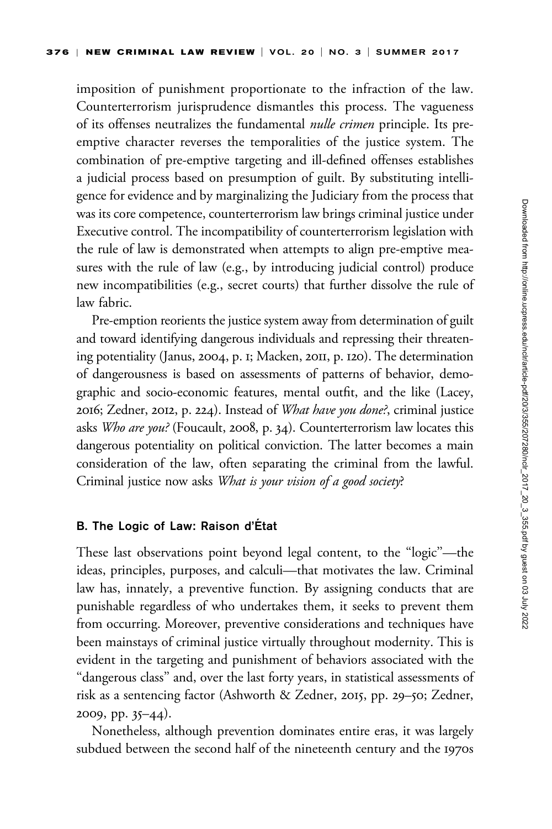imposition of punishment proportionate to the infraction of the law. Counterterrorism jurisprudence dismantles this process. The vagueness of its offenses neutralizes the fundamental nulle crimen principle. Its preemptive character reverses the temporalities of the justice system. The combination of pre-emptive targeting and ill-defined offenses establishes a judicial process based on presumption of guilt. By substituting intelligence for evidence and by marginalizing the Judiciary from the process that was its core competence, counterterrorism law brings criminal justice under Executive control. The incompatibility of counterterrorism legislation with the rule of law is demonstrated when attempts to align pre-emptive measures with the rule of law (e.g., by introducing judicial control) produce new incompatibilities (e.g., secret courts) that further dissolve the rule of law fabric.

Pre-emption reorients the justice system away from determination of guilt and toward identifying dangerous individuals and repressing their threatening potentiality (Janus, 2004, p. 1; Macken, 2011, p. 120). The determination of dangerousness is based on assessments of patterns of behavior, demographic and socio-economic features, mental outfit, and the like (Lacey, 2016; Zedner, 2012, p. 224). Instead of What have you done?, criminal justice asks Who are you? (Foucault, 2008, p. 34). Counterterrorism law locates this dangerous potentiality on political conviction. The latter becomes a main consideration of the law, often separating the criminal from the lawful. Criminal justice now asks What is your vision of a good society?

#### B. The Logic of Law: Raison d'État

These last observations point beyond legal content, to the ''logic''—the ideas, principles, purposes, and calculi—that motivates the law. Criminal law has, innately, a preventive function. By assigning conducts that are punishable regardless of who undertakes them, it seeks to prevent them from occurring. Moreover, preventive considerations and techniques have been mainstays of criminal justice virtually throughout modernity. This is evident in the targeting and punishment of behaviors associated with the ''dangerous class'' and, over the last forty years, in statistical assessments of risk as a sentencing factor (Ashworth & Zedner, 2015, pp. 29–50; Zedner, 2009, pp. 35–44).

Nonetheless, although prevention dominates entire eras, it was largely subdued between the second half of the nineteenth century and the 1970s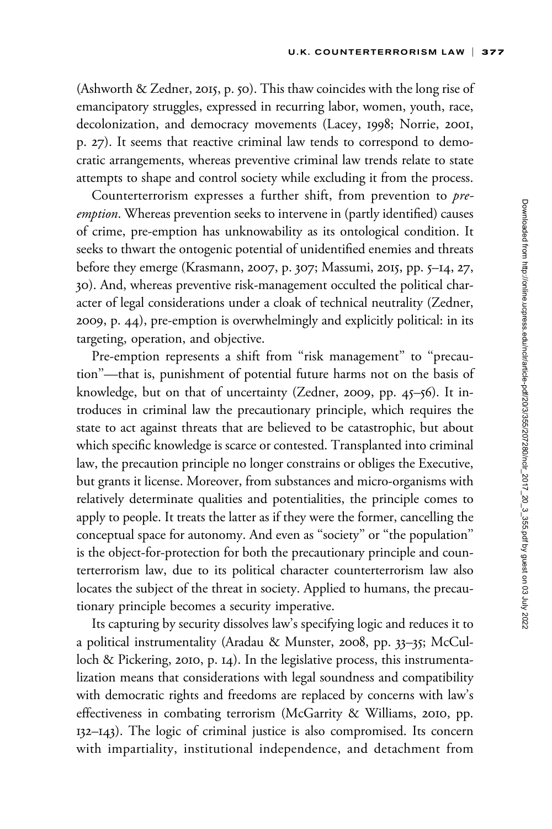(Ashworth & Zedner, 2015, p. 50). This thaw coincides with the long rise of emancipatory struggles, expressed in recurring labor, women, youth, race, decolonization, and democracy movements (Lacey, 1998; Norrie, 2001, p. 27). It seems that reactive criminal law tends to correspond to democratic arrangements, whereas preventive criminal law trends relate to state attempts to shape and control society while excluding it from the process.

Counterterrorism expresses a further shift, from prevention to preemption. Whereas prevention seeks to intervene in (partly identified) causes of crime, pre-emption has unknowability as its ontological condition. It seeks to thwart the ontogenic potential of unidentified enemies and threats before they emerge (Krasmann, 2007, p. 307; Massumi, 2015, pp. 5–14, 27, 30). And, whereas preventive risk-management occulted the political character of legal considerations under a cloak of technical neutrality (Zedner, 2009, p. 44), pre-emption is overwhelmingly and explicitly political: in its targeting, operation, and objective.

Pre-emption represents a shift from "risk management" to "precaution''—that is, punishment of potential future harms not on the basis of knowledge, but on that of uncertainty (Zedner, 2009, pp. 45–56). It introduces in criminal law the precautionary principle, which requires the state to act against threats that are believed to be catastrophic, but about which specific knowledge is scarce or contested. Transplanted into criminal law, the precaution principle no longer constrains or obliges the Executive, but grants it license. Moreover, from substances and micro-organisms with relatively determinate qualities and potentialities, the principle comes to apply to people. It treats the latter as if they were the former, cancelling the conceptual space for autonomy. And even as ''society'' or ''the population'' is the object-for-protection for both the precautionary principle and counterterrorism law, due to its political character counterterrorism law also locates the subject of the threat in society. Applied to humans, the precautionary principle becomes a security imperative.

Its capturing by security dissolves law's specifying logic and reduces it to a political instrumentality (Aradau & Munster, 2008, pp. 33–35; McCulloch & Pickering, 2010, p. 14). In the legislative process, this instrumentalization means that considerations with legal soundness and compatibility with democratic rights and freedoms are replaced by concerns with law's effectiveness in combating terrorism (McGarrity & Williams, 2010, pp. 132–143). The logic of criminal justice is also compromised. Its concern with impartiality, institutional independence, and detachment from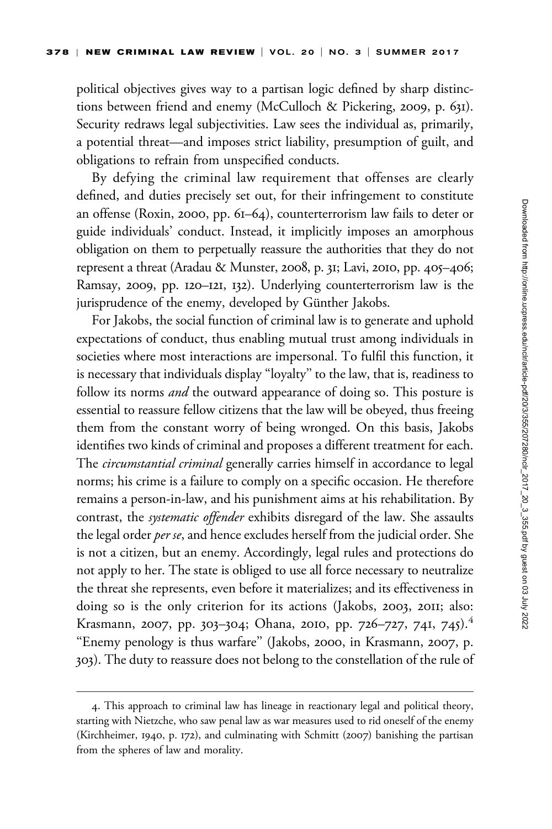political objectives gives way to a partisan logic defined by sharp distinctions between friend and enemy (McCulloch & Pickering, 2009, p. 631). Security redraws legal subjectivities. Law sees the individual as, primarily, a potential threat—and imposes strict liability, presumption of guilt, and obligations to refrain from unspecified conducts.

By defying the criminal law requirement that offenses are clearly defined, and duties precisely set out, for their infringement to constitute an offense (Roxin, 2000, pp. 61–64), counterterrorism law fails to deter or guide individuals' conduct. Instead, it implicitly imposes an amorphous obligation on them to perpetually reassure the authorities that they do not represent a threat (Aradau & Munster, 2008, p. 31; Lavi, 2010, pp. 405–406; Ramsay, 2009, pp. 120–121, 132). Underlying counterterrorism law is the jurisprudence of the enemy, developed by Günther Jakobs.

For Jakobs, the social function of criminal law is to generate and uphold expectations of conduct, thus enabling mutual trust among individuals in societies where most interactions are impersonal. To fulfil this function, it is necessary that individuals display ''loyalty'' to the law, that is, readiness to follow its norms *and* the outward appearance of doing so. This posture is essential to reassure fellow citizens that the law will be obeyed, thus freeing them from the constant worry of being wronged. On this basis, Jakobs identifies two kinds of criminal and proposes a different treatment for each. The *circumstantial criminal* generally carries himself in accordance to legal norms; his crime is a failure to comply on a specific occasion. He therefore remains a person-in-law, and his punishment aims at his rehabilitation. By contrast, the systematic offender exhibits disregard of the law. She assaults the legal order per se, and hence excludes herself from the judicial order. She is not a citizen, but an enemy. Accordingly, legal rules and protections do not apply to her. The state is obliged to use all force necessary to neutralize the threat she represents, even before it materializes; and its effectiveness in doing so is the only criterion for its actions (Jakobs, 2003, 2011; also: Krasmann, 2007, pp. 303–304; Ohana, 2010, pp. 726–727, 741, 745).<sup>4</sup> "Enemy penology is thus warfare" (Jakobs, 2000, in Krasmann, 2007, p. 303). The duty to reassure does not belong to the constellation of the rule of

<sup>4.</sup> This approach to criminal law has lineage in reactionary legal and political theory, starting with Nietzche, who saw penal law as war measures used to rid oneself of the enemy (Kirchheimer, 1940, p. 172), and culminating with Schmitt (2007) banishing the partisan from the spheres of law and morality.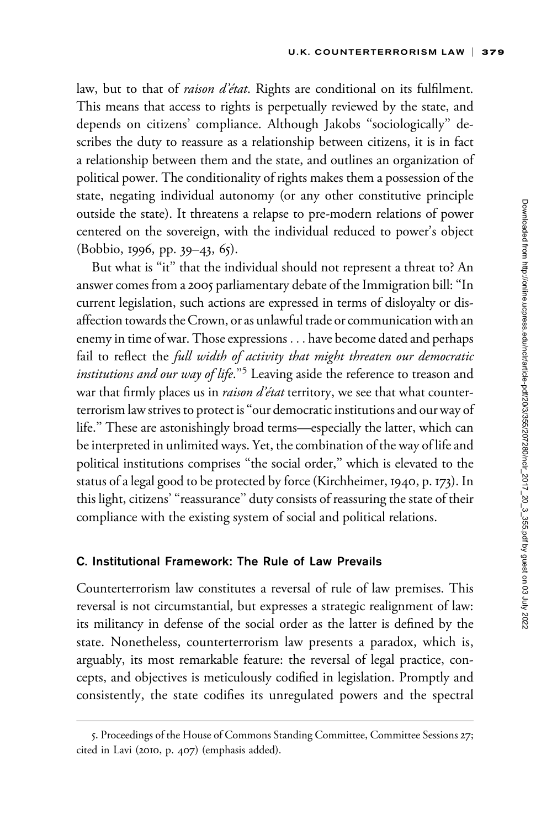law, but to that of raison d'état. Rights are conditional on its fulfilment. This means that access to rights is perpetually reviewed by the state, and depends on citizens' compliance. Although Jakobs ''sociologically'' describes the duty to reassure as a relationship between citizens, it is in fact a relationship between them and the state, and outlines an organization of political power. The conditionality of rights makes them a possession of the state, negating individual autonomy (or any other constitutive principle outside the state). It threatens a relapse to pre-modern relations of power centered on the sovereign, with the individual reduced to power's object (Bobbio, 1996, pp. 39–43, 65).

But what is "it" that the individual should not represent a threat to? An answer comes from a 2005 parliamentary debate of the Immigration bill: ''In current legislation, such actions are expressed in terms of disloyalty or disaffection towards the Crown, or as unlawful trade or communication with an enemy in time of war. Those expressions ... have become dated and perhaps fail to reflect the full width of activity that might threaten our democratic *institutions and our way of life.*<sup> $3$ </sup> Leaving aside the reference to treason and war that firmly places us in *raison d'état* territory, we see that what counterterrorism law strives to protect is ''our democratic institutions and our way of life.'' These are astonishingly broad terms—especially the latter, which can be interpreted in unlimited ways. Yet, the combination of the way of life and political institutions comprises ''the social order,'' which is elevated to the status of a legal good to be protected by force (Kirchheimer, 1940, p. 173). In this light, citizens' ''reassurance'' duty consists of reassuring the state of their compliance with the existing system of social and political relations.

### C. Institutional Framework: The Rule of Law Prevails

Counterterrorism law constitutes a reversal of rule of law premises. This reversal is not circumstantial, but expresses a strategic realignment of law: its militancy in defense of the social order as the latter is defined by the state. Nonetheless, counterterrorism law presents a paradox, which is, arguably, its most remarkable feature: the reversal of legal practice, concepts, and objectives is meticulously codified in legislation. Promptly and consistently, the state codifies its unregulated powers and the spectral

<sup>5.</sup> Proceedings of the House of Commons Standing Committee, Committee Sessions 27; cited in Lavi (2010, p. 407) (emphasis added).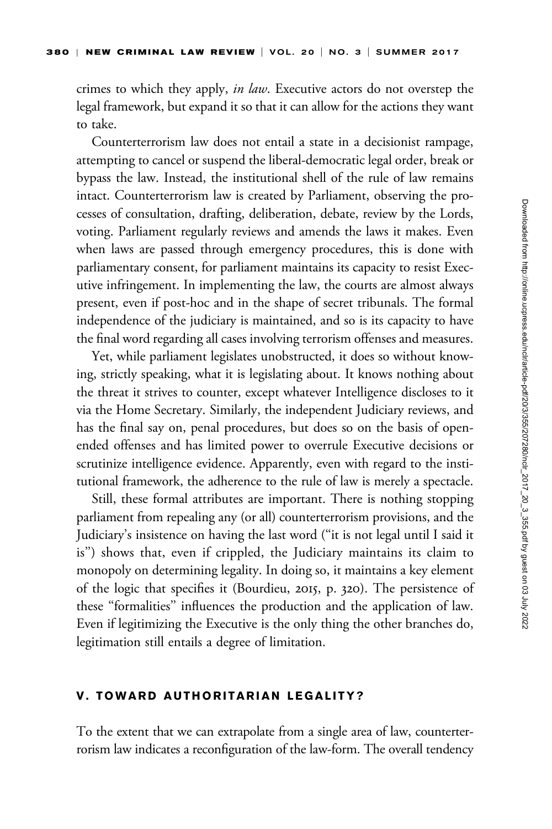crimes to which they apply, *in law*. Executive actors do not overstep the legal framework, but expand it so that it can allow for the actions they want to take.

Counterterrorism law does not entail a state in a decisionist rampage, attempting to cancel or suspend the liberal-democratic legal order, break or bypass the law. Instead, the institutional shell of the rule of law remains intact. Counterterrorism law is created by Parliament, observing the processes of consultation, drafting, deliberation, debate, review by the Lords, voting. Parliament regularly reviews and amends the laws it makes. Even when laws are passed through emergency procedures, this is done with parliamentary consent, for parliament maintains its capacity to resist Executive infringement. In implementing the law, the courts are almost always present, even if post-hoc and in the shape of secret tribunals. The formal independence of the judiciary is maintained, and so is its capacity to have the final word regarding all cases involving terrorism offenses and measures.

Yet, while parliament legislates unobstructed, it does so without knowing, strictly speaking, what it is legislating about. It knows nothing about the threat it strives to counter, except whatever Intelligence discloses to it via the Home Secretary. Similarly, the independent Judiciary reviews, and has the final say on, penal procedures, but does so on the basis of openended offenses and has limited power to overrule Executive decisions or scrutinize intelligence evidence. Apparently, even with regard to the institutional framework, the adherence to the rule of law is merely a spectacle.

Still, these formal attributes are important. There is nothing stopping parliament from repealing any (or all) counterterrorism provisions, and the Judiciary's insistence on having the last word (''it is not legal until I said it is'') shows that, even if crippled, the Judiciary maintains its claim to monopoly on determining legality. In doing so, it maintains a key element of the logic that specifies it (Bourdieu, 2015, p. 320). The persistence of these ''formalities'' influences the production and the application of law. Even if legitimizing the Executive is the only thing the other branches do, legitimation still entails a degree of limitation.

### V. TOWARD AUTHORITARIAN LEGALITY?

To the extent that we can extrapolate from a single area of law, counterterrorism law indicates a reconfiguration of the law-form. The overall tendency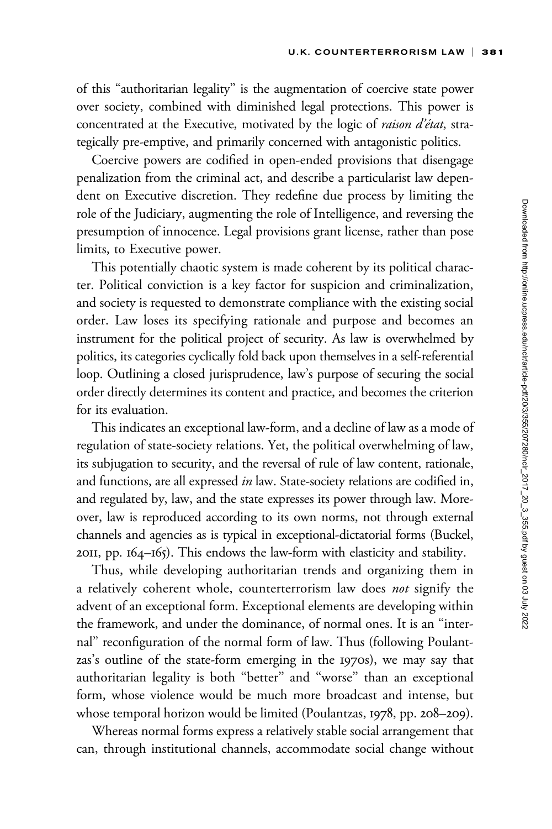of this ''authoritarian legality'' is the augmentation of coercive state power over society, combined with diminished legal protections. This power is concentrated at the Executive, motivated by the logic of raison d'état, strategically pre-emptive, and primarily concerned with antagonistic politics.

Coercive powers are codified in open-ended provisions that disengage penalization from the criminal act, and describe a particularist law dependent on Executive discretion. They redefine due process by limiting the role of the Judiciary, augmenting the role of Intelligence, and reversing the presumption of innocence. Legal provisions grant license, rather than pose limits, to Executive power.

This potentially chaotic system is made coherent by its political character. Political conviction is a key factor for suspicion and criminalization, and society is requested to demonstrate compliance with the existing social order. Law loses its specifying rationale and purpose and becomes an instrument for the political project of security. As law is overwhelmed by politics, its categories cyclically fold back upon themselves in a self-referential loop. Outlining a closed jurisprudence, law's purpose of securing the social order directly determines its content and practice, and becomes the criterion for its evaluation.

This indicates an exceptional law-form, and a decline of law as a mode of regulation of state-society relations. Yet, the political overwhelming of law, its subjugation to security, and the reversal of rule of law content, rationale, and functions, are all expressed in law. State-society relations are codified in, and regulated by, law, and the state expresses its power through law. Moreover, law is reproduced according to its own norms, not through external channels and agencies as is typical in exceptional-dictatorial forms (Buckel, 2011, pp. 164–165). This endows the law-form with elasticity and stability.

Thus, while developing authoritarian trends and organizing them in a relatively coherent whole, counterterrorism law does not signify the advent of an exceptional form. Exceptional elements are developing within the framework, and under the dominance, of normal ones. It is an ''internal'' reconfiguration of the normal form of law. Thus (following Poulantzas's outline of the state-form emerging in the 1970s), we may say that authoritarian legality is both ''better'' and ''worse'' than an exceptional form, whose violence would be much more broadcast and intense, but whose temporal horizon would be limited (Poulantzas, 1978, pp. 208–209).

Whereas normal forms express a relatively stable social arrangement that can, through institutional channels, accommodate social change without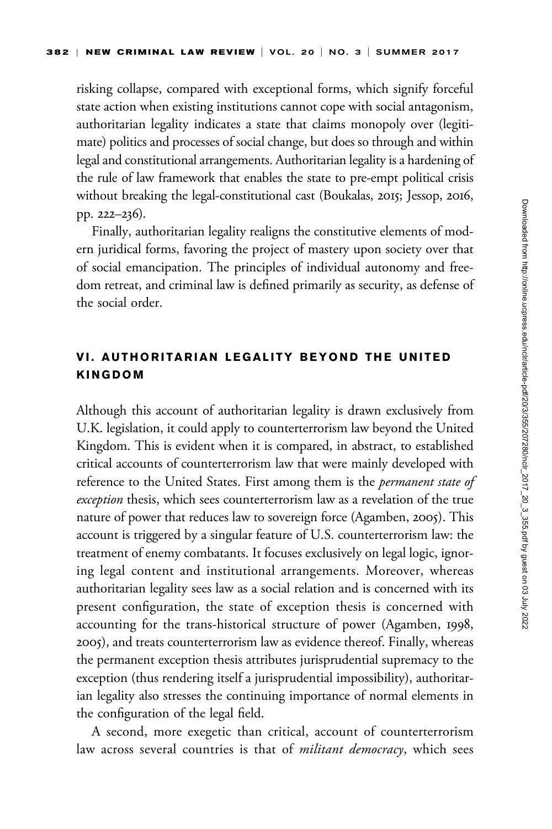risking collapse, compared with exceptional forms, which signify forceful state action when existing institutions cannot cope with social antagonism, authoritarian legality indicates a state that claims monopoly over (legitimate) politics and processes of social change, but does so through and within legal and constitutional arrangements. Authoritarian legality is a hardening of the rule of law framework that enables the state to pre-empt political crisis without breaking the legal-constitutional cast (Boukalas, 2015; Jessop, 2016, pp. 222–236).

Finally, authoritarian legality realigns the constitutive elements of modern juridical forms, favoring the project of mastery upon society over that of social emancipation. The principles of individual autonomy and freedom retreat, and criminal law is defined primarily as security, as defense of the social order.

# VI. AUTHORITARIAN LEGALITY BEYOND THE UNITED KINGDOM

Although this account of authoritarian legality is drawn exclusively from U.K. legislation, it could apply to counterterrorism law beyond the United Kingdom. This is evident when it is compared, in abstract, to established critical accounts of counterterrorism law that were mainly developed with reference to the United States. First among them is the *permanent state of* exception thesis, which sees counterterrorism law as a revelation of the true nature of power that reduces law to sovereign force (Agamben, 2005). This account is triggered by a singular feature of U.S. counterterrorism law: the treatment of enemy combatants. It focuses exclusively on legal logic, ignoring legal content and institutional arrangements. Moreover, whereas authoritarian legality sees law as a social relation and is concerned with its present configuration, the state of exception thesis is concerned with accounting for the trans-historical structure of power (Agamben, 1998, 2005), and treats counterterrorism law as evidence thereof. Finally, whereas the permanent exception thesis attributes jurisprudential supremacy to the exception (thus rendering itself a jurisprudential impossibility), authoritarian legality also stresses the continuing importance of normal elements in the configuration of the legal field.

A second, more exegetic than critical, account of counterterrorism law across several countries is that of *militant democracy*, which sees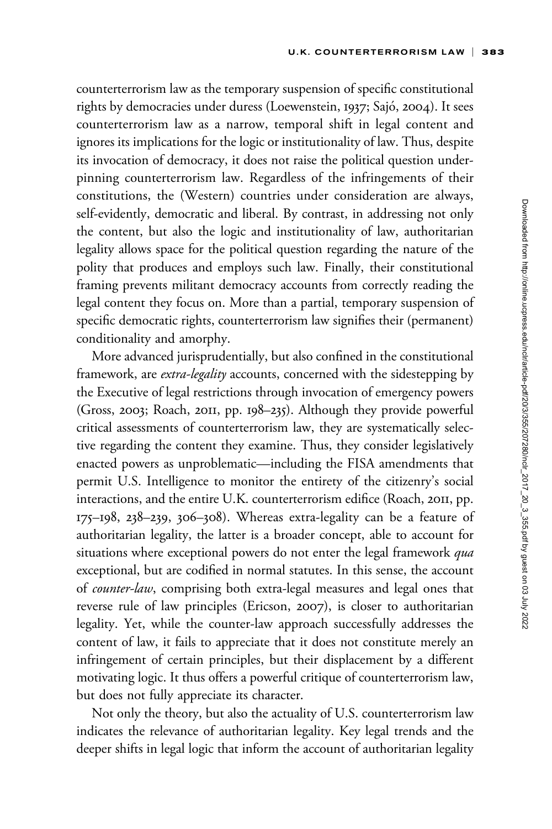counterterrorism law as the temporary suspension of specific constitutional rights by democracies under duress (Loewenstein, 1937; Sajó, 2004). It sees counterterrorism law as a narrow, temporal shift in legal content and ignores its implications for the logic or institutionality of law. Thus, despite its invocation of democracy, it does not raise the political question underpinning counterterrorism law. Regardless of the infringements of their constitutions, the (Western) countries under consideration are always, self-evidently, democratic and liberal. By contrast, in addressing not only the content, but also the logic and institutionality of law, authoritarian legality allows space for the political question regarding the nature of the polity that produces and employs such law. Finally, their constitutional framing prevents militant democracy accounts from correctly reading the legal content they focus on. More than a partial, temporary suspension of specific democratic rights, counterterrorism law signifies their (permanent) conditionality and amorphy.

More advanced jurisprudentially, but also confined in the constitutional framework, are extra-legality accounts, concerned with the sidestepping by the Executive of legal restrictions through invocation of emergency powers (Gross, 2003; Roach, 2011, pp. 198–235). Although they provide powerful critical assessments of counterterrorism law, they are systematically selective regarding the content they examine. Thus, they consider legislatively enacted powers as unproblematic—including the FISA amendments that permit U.S. Intelligence to monitor the entirety of the citizenry's social interactions, and the entire U.K. counterterrorism edifice (Roach, 2011, pp. 175–198, 238–239, 306–308). Whereas extra-legality can be a feature of authoritarian legality, the latter is a broader concept, able to account for situations where exceptional powers do not enter the legal framework qua exceptional, but are codified in normal statutes. In this sense, the account of counter-law, comprising both extra-legal measures and legal ones that reverse rule of law principles (Ericson, 2007), is closer to authoritarian legality. Yet, while the counter-law approach successfully addresses the content of law, it fails to appreciate that it does not constitute merely an infringement of certain principles, but their displacement by a different motivating logic. It thus offers a powerful critique of counterterrorism law, but does not fully appreciate its character.

Not only the theory, but also the actuality of U.S. counterterrorism law indicates the relevance of authoritarian legality. Key legal trends and the deeper shifts in legal logic that inform the account of authoritarian legality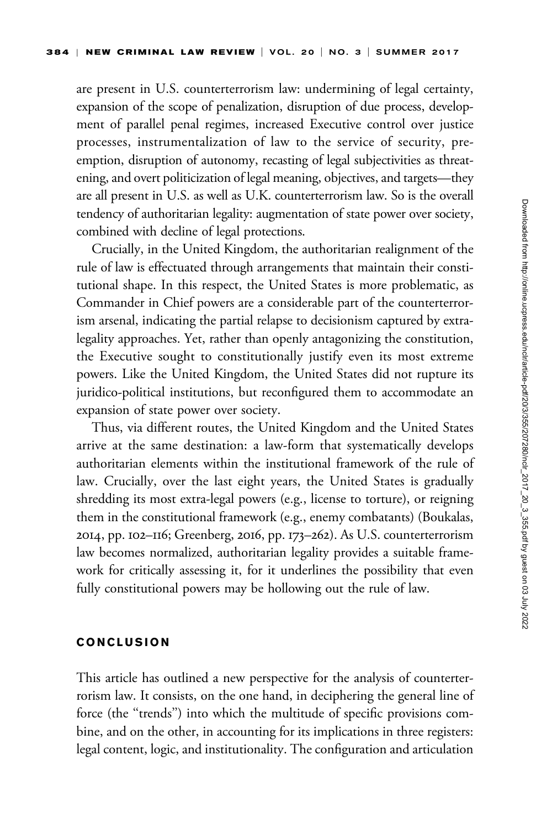are present in U.S. counterterrorism law: undermining of legal certainty, expansion of the scope of penalization, disruption of due process, development of parallel penal regimes, increased Executive control over justice processes, instrumentalization of law to the service of security, preemption, disruption of autonomy, recasting of legal subjectivities as threatening, and overt politicization of legal meaning, objectives, and targets—they are all present in U.S. as well as U.K. counterterrorism law. So is the overall tendency of authoritarian legality: augmentation of state power over society, combined with decline of legal protections.

Crucially, in the United Kingdom, the authoritarian realignment of the rule of law is effectuated through arrangements that maintain their constitutional shape. In this respect, the United States is more problematic, as Commander in Chief powers are a considerable part of the counterterrorism arsenal, indicating the partial relapse to decisionism captured by extralegality approaches. Yet, rather than openly antagonizing the constitution, the Executive sought to constitutionally justify even its most extreme powers. Like the United Kingdom, the United States did not rupture its juridico-political institutions, but reconfigured them to accommodate an expansion of state power over society.

Thus, via different routes, the United Kingdom and the United States arrive at the same destination: a law-form that systematically develops authoritarian elements within the institutional framework of the rule of law. Crucially, over the last eight years, the United States is gradually shredding its most extra-legal powers (e.g., license to torture), or reigning them in the constitutional framework (e.g., enemy combatants) (Boukalas, 2014, pp. 102–116; Greenberg, 2016, pp. 173–262). As U.S. counterterrorism law becomes normalized, authoritarian legality provides a suitable framework for critically assessing it, for it underlines the possibility that even fully constitutional powers may be hollowing out the rule of law.

### CONCLUSION

This article has outlined a new perspective for the analysis of counterterrorism law. It consists, on the one hand, in deciphering the general line of force (the "trends") into which the multitude of specific provisions combine, and on the other, in accounting for its implications in three registers: legal content, logic, and institutionality. The configuration and articulation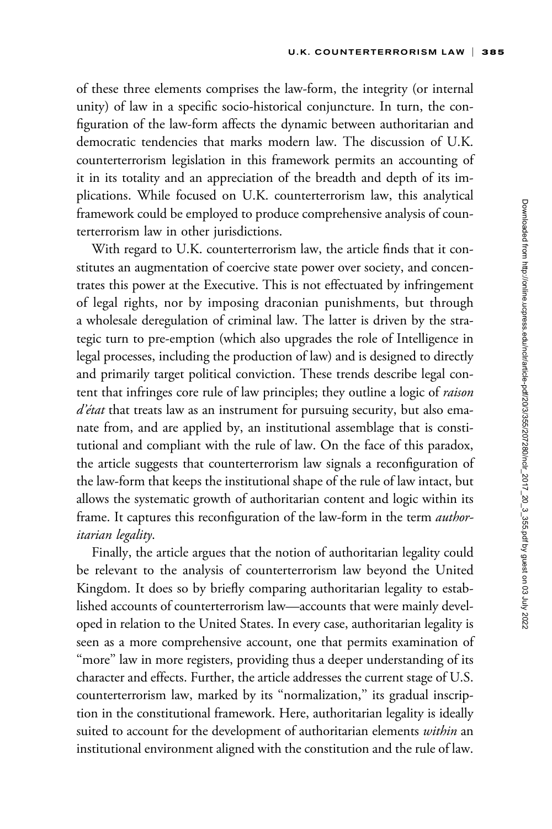of these three elements comprises the law-form, the integrity (or internal unity) of law in a specific socio-historical conjuncture. In turn, the configuration of the law-form affects the dynamic between authoritarian and democratic tendencies that marks modern law. The discussion of U.K. counterterrorism legislation in this framework permits an accounting of it in its totality and an appreciation of the breadth and depth of its implications. While focused on U.K. counterterrorism law, this analytical framework could be employed to produce comprehensive analysis of counterterrorism law in other jurisdictions.

With regard to U.K. counterterrorism law, the article finds that it constitutes an augmentation of coercive state power over society, and concentrates this power at the Executive. This is not effectuated by infringement of legal rights, nor by imposing draconian punishments, but through a wholesale deregulation of criminal law. The latter is driven by the strategic turn to pre-emption (which also upgrades the role of Intelligence in legal processes, including the production of law) and is designed to directly and primarily target political conviction. These trends describe legal content that infringes core rule of law principles; they outline a logic of raison  $d\acute{e}tat$  that treats law as an instrument for pursuing security, but also emanate from, and are applied by, an institutional assemblage that is constitutional and compliant with the rule of law. On the face of this paradox, the article suggests that counterterrorism law signals a reconfiguration of the law-form that keeps the institutional shape of the rule of law intact, but allows the systematic growth of authoritarian content and logic within its frame. It captures this reconfiguration of the law-form in the term *author*itarian legality.

Finally, the article argues that the notion of authoritarian legality could be relevant to the analysis of counterterrorism law beyond the United Kingdom. It does so by briefly comparing authoritarian legality to established accounts of counterterrorism law—accounts that were mainly developed in relation to the United States. In every case, authoritarian legality is seen as a more comprehensive account, one that permits examination of "more" law in more registers, providing thus a deeper understanding of its character and effects. Further, the article addresses the current stage of U.S. counterterrorism law, marked by its "normalization," its gradual inscription in the constitutional framework. Here, authoritarian legality is ideally suited to account for the development of authoritarian elements within an institutional environment aligned with the constitution and the rule of law.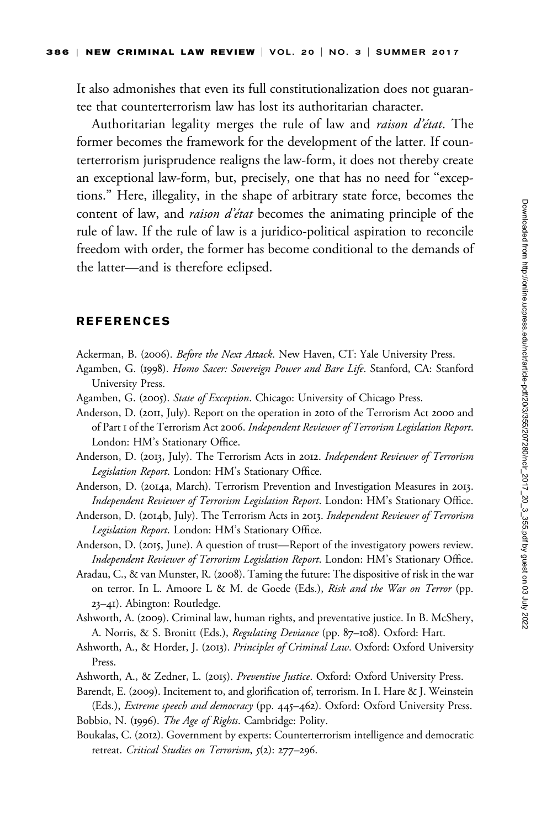It also admonishes that even its full constitutionalization does not guarantee that counterterrorism law has lost its authoritarian character.

Authoritarian legality merges the rule of law and raison d'état. The former becomes the framework for the development of the latter. If counterterrorism jurisprudence realigns the law-form, it does not thereby create an exceptional law-form, but, precisely, one that has no need for ''exceptions.'' Here, illegality, in the shape of arbitrary state force, becomes the content of law, and *raison d'état* becomes the animating principle of the rule of law. If the rule of law is a juridico-political aspiration to reconcile freedom with order, the former has become conditional to the demands of the latter—and is therefore eclipsed.

#### **REFERENCES**

- Ackerman, B. (2006). Before the Next Attack. New Haven, CT: Yale University Press.
- Agamben, G. (1998). Homo Sacer: Sovereign Power and Bare Life. Stanford, CA: Stanford University Press.
- Agamben, G. (2005). State of Exception. Chicago: University of Chicago Press.
- Anderson, D. (2011, July). Report on the operation in 2010 of the Terrorism Act 2000 and of Part 1 of the Terrorism Act 2006. Independent Reviewer of Terrorism Legislation Report. London: HM's Stationary Office.
- Anderson, D. (2013, July). The Terrorism Acts in 2012. Independent Reviewer of Terrorism Legislation Report. London: HM's Stationary Office.
- Anderson, D. (2014a, March). Terrorism Prevention and Investigation Measures in 2013. Independent Reviewer of Terrorism Legislation Report. London: HM's Stationary Office.
- Anderson, D. (2014b, July). The Terrorism Acts in 2013. Independent Reviewer of Terrorism Legislation Report. London: HM's Stationary Office.
- Anderson, D. (2015, June). A question of trust—Report of the investigatory powers review. Independent Reviewer of Terrorism Legislation Report. London: HM's Stationary Office.
- Aradau, C., & van Munster, R. (2008). Taming the future: The dispositive of risk in the war on terror. In L. Amoore L & M. de Goede (Eds.), Risk and the War on Terror (pp. 23–41). Abington: Routledge.
- Ashworth, A. (2009). Criminal law, human rights, and preventative justice. In B. McShery, A. Norris, & S. Bronitt (Eds.), Regulating Deviance (pp. 87-108). Oxford: Hart.
- Ashworth, A., & Horder, J. (2013). Principles of Criminal Law. Oxford: Oxford University Press.
- Ashworth, A., & Zedner, L. (2015). Preventive Justice. Oxford: Oxford University Press.
- Barendt, E. (2009). Incitement to, and glorification of, terrorism. In I. Hare & J. Weinstein (Eds.), Extreme speech and democracy (pp. 445-462). Oxford: Oxford University Press.
- Bobbio, N. (1996). The Age of Rights. Cambridge: Polity.
- Boukalas, C. (2012). Government by experts: Counterterrorism intelligence and democratic retreat. Critical Studies on Terrorism, 5(2): 277-296.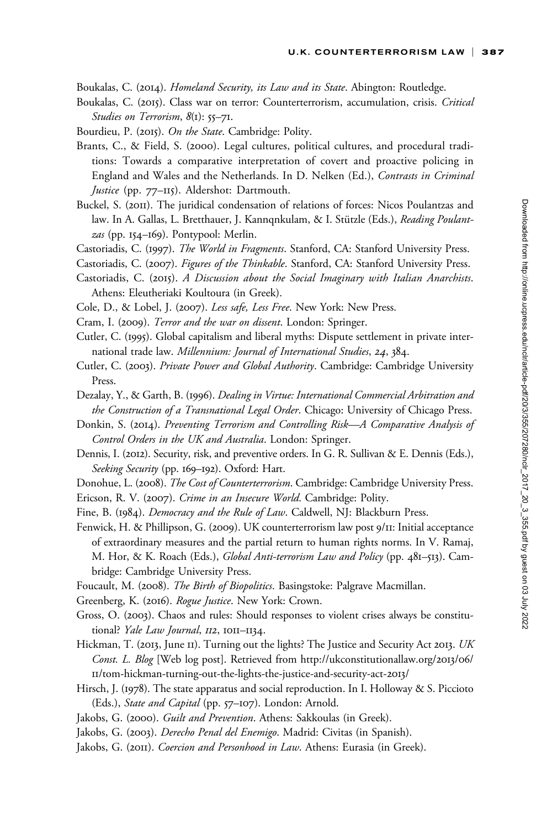Boukalas, C. (2014). Homeland Security, its Law and its State. Abington: Routledge.

- Boukalas, C. (2015). Class war on terror: Counterterrorism, accumulation, crisis. Critical Studies on Terrorism, 8(1): 55-71.
- Bourdieu, P. (2015). On the State. Cambridge: Polity.
- Brants, C., & Field, S. (2000). Legal cultures, political cultures, and procedural traditions: Towards a comparative interpretation of covert and proactive policing in England and Wales and the Netherlands. In D. Nelken (Ed.), Contrasts in Criminal Justice (pp. 77–115). Aldershot: Dartmouth.
- Buckel, S. (2011). The juridical condensation of relations of forces: Nicos Poulantzas and law. In A. Gallas, L. Bretthauer, J. Kannqnkulam, & I. Stützle (Eds.), Reading Poulantzas (pp. 154–169). Pontypool: Merlin.
- Castoriadis, C. (1997). The World in Fragments. Stanford, CA: Stanford University Press.
- Castoriadis, C. (2007). Figures of the Thinkable. Stanford, CA: Stanford University Press.
- Castoriadis, C. (2015). A Discussion about the Social Imaginary with Italian Anarchists. Athens: Eleutheriaki Koultoura (in Greek).
- Cole, D., & Lobel, J. (2007). Less safe, Less Free. New York: New Press.
- Cram, I. (2009). Terror and the war on dissent. London: Springer.
- Cutler, C. (1995). Global capitalism and liberal myths: Dispute settlement in private international trade law. Millennium: Journal of International Studies, 24, 384.
- Cutler, C. (2003). Private Power and Global Authority. Cambridge: Cambridge University Press.
- Dezalay, Y., & Garth, B. (1996). Dealing in Virtue: International Commercial Arbitration and the Construction of a Transnational Legal Order. Chicago: University of Chicago Press.
- Donkin, S. (2014). Preventing Terrorism and Controlling Risk—A Comparative Analysis of Control Orders in the UK and Australia. London: Springer.
- Dennis, I. (2012). Security, risk, and preventive orders. In G. R. Sullivan & E. Dennis (Eds.), Seeking Security (pp. 169–192). Oxford: Hart.
- Donohue, L. (2008). The Cost of Counterterrorism. Cambridge: Cambridge University Press.

Ericson, R. V. (2007). Crime in an Insecure World. Cambridge: Polity.

- Fine, B. (1984). *Democracy and the Rule of Law*. Caldwell, NJ: Blackburn Press.
- Fenwick, H. & Phillipson, G. (2009). UK counterterrorism law post 9/11: Initial acceptance of extraordinary measures and the partial return to human rights norms. In V. Ramaj, M. Hor, & K. Roach (Eds.), *Global Anti-terrorism Law and Policy* (pp. 481-513). Cambridge: Cambridge University Press.
- Foucault, M. (2008). The Birth of Biopolitics. Basingstoke: Palgrave Macmillan.
- Greenberg, K. (2016). Rogue Justice. New York: Crown.
- Gross, O. (2003). Chaos and rules: Should responses to violent crises always be constitutional? Yale Law Journal, 112, 1011-1134.
- Hickman, T. (2013, June II). Turning out the lights? The Justice and Security Act 2013. UK Const. L. Blog [Web log post]. Retrieved from [http://ukconstitutionallaw.org/](http://ukconstitutionallaw.org/2013/06/11/tom-hickman-turning-out-the-lights-the-justice-and-security-act-2013/)2013/06/ 11[/tom-hickman-turning-out-the-lights-the-justice-and-security-act-](http://ukconstitutionallaw.org/2013/06/11/tom-hickman-turning-out-the-lights-the-justice-and-security-act-2013/)2013/
- Hirsch, J. (1978). The state apparatus and social reproduction. In I. Holloway & S. Piccioto (Eds.), State and Capital (pp. 57–107). London: Arnold.
- Jakobs, G. (2000). Guilt and Prevention. Athens: Sakkoulas (in Greek).
- Jakobs, G. (2003). Derecho Penal del Enemigo. Madrid: Civitas (in Spanish).
- Jakobs, G. (2011). Coercion and Personhood in Law. Athens: Eurasia (in Greek).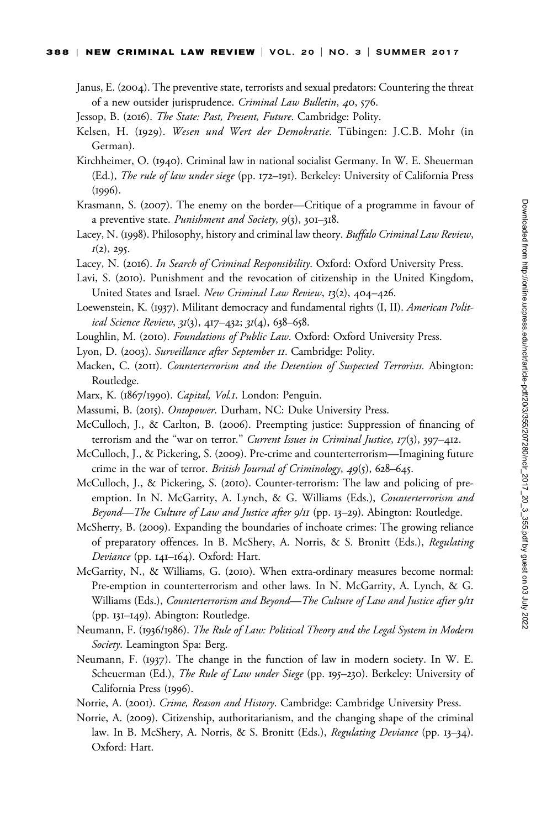#### 388 | NEW CRIMINAL LAW REVIEW | VOL. 20 | NO. 3 | SUMMER 2017

- Janus, E. (2004). The preventive state, terrorists and sexual predators: Countering the threat of a new outsider jurisprudence. Criminal Law Bulletin, 40, 576.
- Jessop, B. (2016). The State: Past, Present, Future. Cambridge: Polity.
- Kelsen, H. (1929). Wesen und Wert der Demokratie. Tübingen: J.C.B. Mohr (in German).
- Kirchheimer, O. (1940). Criminal law in national socialist Germany. In W. E. Sheuerman (Ed.), The rule of law under siege (pp. 172–191). Berkeley: University of California Press (1996).
- Krasmann, S. (2007). The enemy on the border—Critique of a programme in favour of a preventive state. Punishment and Society, 9(3), 301-318.
- Lacey, N. (1998). Philosophy, history and criminal law theory. Buffalo Criminal Law Review,  $I(2)$ , 295.
- Lacey, N. (2016). In Search of Criminal Responsibility. Oxford: Oxford University Press.
- Lavi, S. (2010). Punishment and the revocation of citizenship in the United Kingdom, United States and Israel. New Criminal Law Review, 13(2), 404-426.
- Loewenstein, K. (1937). Militant democracy and fundamental rights (I, II). American Political Science Review, 31(3), 417–432; 31(4), 638–658.
- Loughlin, M. (2010). Foundations of Public Law. Oxford: Oxford University Press.
- Lyon, D. (2003). Surveillance after September II. Cambridge: Polity.
- Macken, C. (2011). Counterterrorism and the Detention of Suspected Terrorists. Abington: Routledge.
- Marx, K. (1867/1990). Capital, Vol.1. London: Penguin.
- Massumi, B. (2015). Ontopower. Durham, NC: Duke University Press.
- McCulloch, J., & Carlton, B. (2006). Preempting justice: Suppression of financing of terrorism and the "war on terror." Current Issues in Criminal Justice, 17(3), 397-412.
- McCulloch, J., & Pickering, S. (2009). Pre-crime and counterterrorism—Imagining future crime in the war of terror. British Journal of Criminology,  $49(5)$ , 628–645.
- McCulloch, J., & Pickering, S. (2010). Counter-terrorism: The law and policing of preemption. In N. McGarrity, A. Lynch, & G. Williams (Eds.), Counterterrorism and Beyond—The Culture of Law and Justice after 9/11 (pp. 13-29). Abington: Routledge.
- McSherry, B. (2009). Expanding the boundaries of inchoate crimes: The growing reliance of preparatory offences. In B. McShery, A. Norris, & S. Bronitt (Eds.), Regulating Deviance (pp. 141–164). Oxford: Hart.
- McGarrity, N., & Williams, G. (2010). When extra-ordinary measures become normal: Pre-emption in counterterrorism and other laws. In N. McGarrity, A. Lynch, & G. Williams (Eds.), Counterterrorism and Beyond—The Culture of Law and Justice after 9/11 (pp. 131–149). Abington: Routledge.
- Neumann, F. (1936/1986). The Rule of Law: Political Theory and the Legal System in Modern Society. Leamington Spa: Berg.
- Neumann, F. (1937). The change in the function of law in modern society. In W. E. Scheuerman (Ed.), *The Rule of Law under Siege* (pp. 195–230). Berkeley: University of California Press (1996).
- Norrie, A. (2001). *Crime, Reason and History*. Cambridge: Cambridge University Press.
- Norrie, A. (2009). Citizenship, authoritarianism, and the changing shape of the criminal law. In B. McShery, A. Norris, & S. Bronitt (Eds.), Regulating Deviance (pp. 13-34). Oxford: Hart.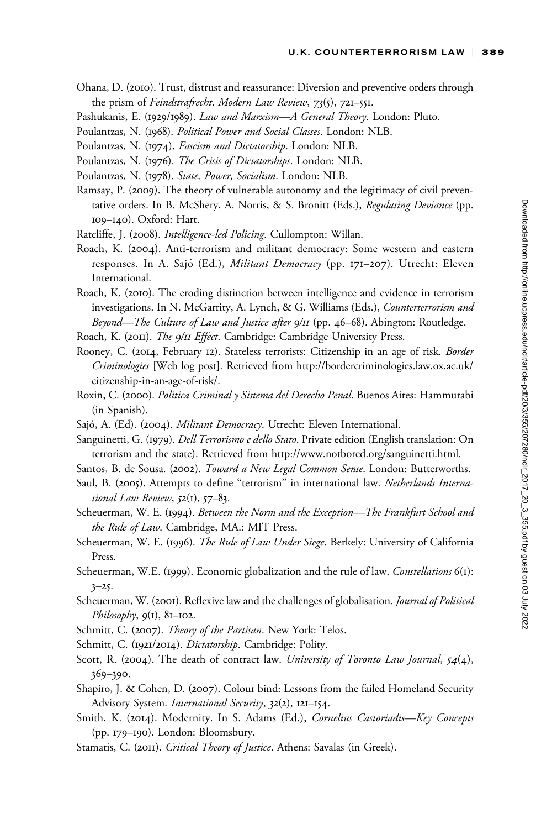- Ohana, D. (2010). Trust, distrust and reassurance: Diversion and preventive orders through the prism of Feindstrafrecht. Modern Law Review, 73(5), 721–551.
- Pashukanis, E. (1929/1989). Law and Marxism-A General Theory. London: Pluto.
- Poulantzas, N. (1968). Political Power and Social Classes. London: NLB.
- Poulantzas, N. (1974). Fascism and Dictatorship. London: NLB.
- Poulantzas, N. (1976). The Crisis of Dictatorships. London: NLB.
- Poulantzas, N. (1978). State, Power, Socialism. London: NLB.
- Ramsay, P. (2009). The theory of vulnerable autonomy and the legitimacy of civil preventative orders. In B. McShery, A. Norris, & S. Bronitt (Eds.), Regulating Deviance (pp. 109–140). Oxford: Hart.
- Ratcliffe, J. (2008). *Intelligence-led Policing*. Cullompton: Willan.
- Roach, K. (2004). Anti-terrorism and militant democracy: Some western and eastern responses. In A. Sajó (Ed.), *Militant Democracy* (pp. 171–207). Utrecht: Eleven International.
- Roach, K. (2010). The eroding distinction between intelligence and evidence in terrorism investigations. In N. McGarrity, A. Lynch, & G. Williams (Eds.), Counterterrorism and Beyond—The Culture of Law and Justice after 9/11 (pp. 46–68). Abington: Routledge.
- Roach, K. (2011). The 9/11 Effect. Cambridge: Cambridge University Press.
- Rooney, C. (2014, February 12). Stateless terrorists: Citizenship in an age of risk. Border Criminologies [Web log post]. Retrieved from [http://bordercriminologies.law.ox.ac.uk/](http://bordercriminologies.law.ox.ac.uk/citizenship-in-an-age-of-risk/) [citizenship-in-an-age-of-risk/](http://bordercriminologies.law.ox.ac.uk/citizenship-in-an-age-of-risk/).
- Roxin, C. (2000). Politica Criminal y Sistema del Derecho Penal. Buenos Aires: Hammurabi (in Spanish).
- Sajó, A. (Ed). (2004). *Militant Democracy*. Utrecht: Eleven International.
- Sanguinetti, G. (1979). *Dell Terrorismo e dello Stato*. Private edition (English translation: On terrorism and the state). Retrieved from http://www.notbored.org/sanguinetti.html.

Santos, B. de Sousa. (2002). Toward a New Legal Common Sense. London: Butterworths.

- Saul, B. (2005). Attempts to define "terrorism" in international law. Netherlands International Law Review,  $52(i)$ ,  $57-83$ .
- Scheuerman, W. E. (1994). Between the Norm and the Exception-The Frankfurt School and the Rule of Law. Cambridge, MA.: MIT Press.
- Scheuerman, W. E. (1996). The Rule of Law Under Siege. Berkely: University of California Press.
- Scheuerman, W.E. (1999). Economic globalization and the rule of law. Constellations 6(1):  $3 - 25.$
- Scheuerman, W. (2001). Reflexive law and the challenges of globalisation. *Journal of Political* Philosophy,  $9(1)$ ,  $81-102$ .
- Schmitt, C. (2007). Theory of the Partisan. New York: Telos.
- Schmitt, C. (1921/2014). *Dictatorship*. Cambridge: Polity.
- Scott, R. (2004). The death of contract law. University of Toronto Law Journal,  $54(4)$ , 369–390.
- Shapiro, J. & Cohen, D. (2007). Colour bind: Lessons from the failed Homeland Security Advisory System. International Security, 32(2), 121-154.
- Smith, K. (2014). Modernity. In S. Adams (Ed.), Cornelius Castoriadis-Key Concepts (pp. 179–190). London: Bloomsbury.
- Stamatis, C. (2011). Critical Theory of Justice. Athens: Savalas (in Greek).